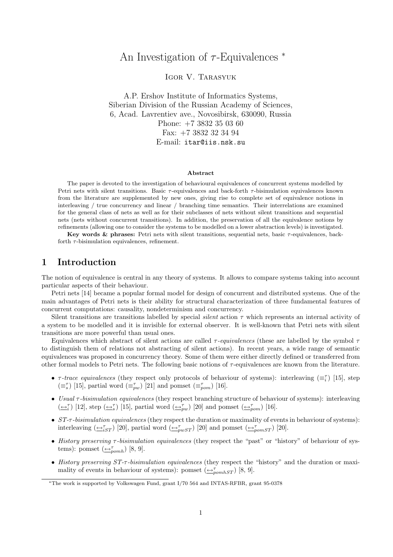# An Investigation of  $\tau$ -Equivalences  $*$

Igor V. Tarasyuk

A.P. Ershov Institute of Informatics Systems, Siberian Division of the Russian Academy of Sciences, 6, Acad. Lavrentiev ave., Novosibirsk, 630090, Russia Phone: +7 3832 35 03 60 Fax: +7 3832 32 34 94 E-mail: itar@iis.nsk.su

#### Abstract

The paper is devoted to the investigation of behavioural equivalences of concurrent systems modelled by Petri nets with silent transitions. Basic  $\tau$ -equivalences and back-forth  $\tau$ -bisimulation equivalences known from the literature are supplemented by new ones, giving rise to complete set of equivalence notions in interleaving / true concurrency and linear / branching time semantics. Their interrelations are examined for the general class of nets as well as for their subclasses of nets without silent transitions and sequential nets (nets without concurrent transitions). In addition, the preservation of all the equivalence notions by refinements (allowing one to consider the systems to be modelled on a lower abstraction levels) is investigated.

Key words & phrases: Petri nets with silent transitions, sequential nets, basic τ-equivalences, backforth  $\tau$ -bisimulation equivalences, refinement.

## 1 Introduction

The notion of equivalence is central in any theory of systems. It allows to compare systems taking into account particular aspects of their behaviour.

Petri nets [14] became a popular formal model for design of concurrent and distributed systems. One of the main advantages of Petri nets is their ability for structural characterization of three fundamental features of concurrent computations: causality, nondeterminism and concurrency.

Silent transitions are transitions labelled by special *silent* action  $\tau$  which represents an internal activity of a system to be modelled and it is invisible for external observer. It is well-known that Petri nets with silent transitions are more powerful than usual ones.

Equivalences which abstract of silent actions are called  $\tau$ -equivalences (these are labelled by the symbol  $\tau$ to distinguish them of relations not abstracting of silent actions). In recent years, a wide range of semantic equivalences was proposed in concurrency theory. Some of them were either directly defined or transferred from other formal models to Petri nets. The following basic notions of  $\tau$ -equivalences are known from the literature.

- $\tau$ -trace equivalences (they respect only protocols of behaviour of systems): interleaving  $(\equiv_i^{\tau})$  [15], step  $(\equiv_s^{\tau})$  [15], partial word  $(\equiv_{pw}^{\tau})$  [21] and pomset  $(\equiv_{pom}^{\tau})$  [16].
- Usual  $\tau$ -bisimulation equivalences (they respect branching structure of behaviour of systems): interleaving  $(\underline{\leftrightarrow_i^{\tau}})$  [12], step  $(\underline{\leftrightarrow_i^{\tau}})$  [15], partial word  $(\underline{\leftrightarrow_{pw}^{\tau}})$  [20] and pomset  $(\underline{\leftrightarrow_{pow}^{\tau}})$  [16].
- ST- $\tau$ -bisimulation equivalences (they respect the duration or maximality of events in behaviour of systems): interleaving  $(\underbrace{\leftrightarrow}^{\tau}_{iST})$  [20], partial word  $(\underbrace{\leftrightarrow}^{\tau}_{pwST})$  [20] and pomset  $(\underbrace{\leftrightarrow}^{\tau}_{pomST})$  [20].
- History preserving τ-bisimulation equivalences (they respect the "past" or "history" of behaviour of systems): pomset  $(\underline{\leftrightarrow}_{pomh}^{\tau})$  [8, 9].
- History preserving ST- $\tau$ -bisimulation equivalences (they respect the "history" and the duration or maximality of events in behaviour of systems): pomset  $(\triangle_{\textit{pomhST}}^{\tau})$  [8, 9].

<sup>∗</sup>The work is supported by Volkswagen Fund, grant I/70 564 and INTAS-RFBR, grant 95-0378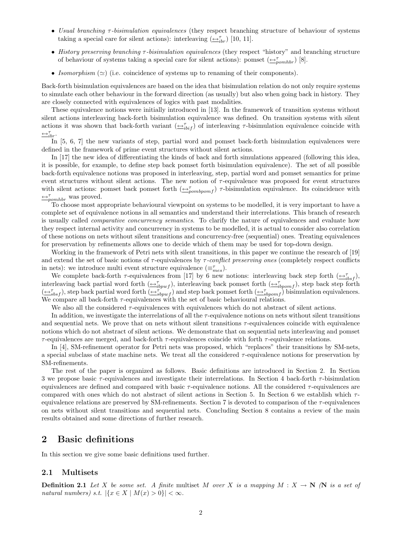- Usual branching  $\tau$ -bisimulation equivalences (they respect branching structure of behaviour of systems taking a special care for silent actions): interleaving  $(\underline{\leftrightarrow}_{ibr}^{\tau})$  [10, 11].
- History preserving branching τ -bisimulation equivalences (they respect "history" and branching structure of behaviour of systems taking a special care for silent actions): pomset  $(\triangle_{pomhbr}^{\tau})$  [8].
- Isomorphism  $(\simeq)$  (i.e. coincidence of systems up to renaming of their components).

Back-forth bisimulation equivalences are based on the idea that bisimulation relation do not only require systems to simulate each other behaviour in the forward direction (as usually) but also when going back in history. They are closely connected with equivalences of logics with past modalities.

These equivalence notions were initially introduced in [13]. In the framework of transition systems without silent actions interleaving back-forth bisimulation equivalence was defined. On transition systems with silent actions it was shown that back-forth variant  $(\underline{\leftrightarrow}_{i}^{\tau}{}_{i\tau})$  of interleaving  $\tau$ -bisimulation equivalence coincide with  $\triangleq_{ibr}^{\tau}$ .

In [5, 6, 7] the new variants of step, partial word and pomset back-forth bisimulation equivalences were defined in the framework of prime event structures without silent actions.

In [17] the new idea of differentiating the kinds of back and forth simulations appeared (following this idea, it is possible, for example, to define step back pomset forth bisimulation equivalence). The set of all possible back-forth equivalence notions was proposed in interleaving, step, partial word and pomset semantics for prime event structures without silent actions. The new notion of  $\tau$ -equivalence was proposed for event structures with silent actions: pomset back pomset forth  $(\bigoplus_{pombpom}^{\tau} \tau)$ -bisimulation equivalence. Its coincidence with  $\leftrightarrow_{\text{pomhbr}}^{\tau}$  was proved.

To choose most appropriate behavioural viewpoint on systems to be modelled, it is very important to have a complete set of equivalence notions in all semantics and understand their interrelations. This branch of research is usually called *comparative concurrency semantics*. To clarify the nature of equivalences and evaluate how they respect internal activity and concurrency in systems to be modelled, it is actual to consider also correlation of these notions on nets without silent transitions and concurrency-free (sequential) ones. Treating equivalences for preservation by refinements allows one to decide which of them may be used for top-down design.

Working in the framework of Petri nets with silent transitions, in this paper we continue the research of [19] and extend the set of basic notions of  $\tau$ -equivalences by  $\tau$ -conflict preserving ones (completely respect conflicts in nets): we introduce multi event structure equivalence  $(\equiv_{mes}^{\tau})$ .

We complete back-forth  $\tau$ -equivalences from [17] by 6 new notions: interleaving back step forth  $(\underline{\leftrightarrow}_{tbsf}^{\tau})$ , interleaving back partial word forth  $(\underbrace{\leftrightarrow}^{\tau}_{ibpwf})$ , interleaving back pomset forth  $(\underbrace{\leftrightarrow}^{\tau}_{ibpomf})$ , step back step forth  $(\underbrace{\leftrightarrow}_{sbsf}^{\tau} )$ , step back partial word forth  $(\underbrace{\leftrightarrow}_{sbpwf}^{\tau})$  and step back pomset forth  $(\underbrace{\leftrightarrow}_{sbpomf}^{\tau})$  bisimulation equivalences. We compare all back-forth  $\tau$ -equivalences with the set of basic behavioural relations.

We also all the considered  $\tau$ -equivalences with equivalences which do not abstract of silent actions.

In addition, we investigate the interrelations of all the  $\tau$ -equivalence notions on nets without silent transitions and sequential nets. We prove that on nets without silent transitions  $\tau$ -equivalences coincide with equivalence notions which do not abstract of silent actions. We demonstrate that on sequential nets interleaving and pomset  $\tau$ -equivalences are merged, and back-forth  $\tau$ -equivalences coincide with forth  $\tau$ -equivalence relations.

In [4], SM-refinement operator for Petri nets was proposed, which "replaces" their transitions by SM-nets, a special subclass of state machine nets. We treat all the considered  $\tau$ -equivalence notions for preservation by SM-refinements.

The rest of the paper is organized as follows. Basic definitions are introduced in Section 2. In Section 3 we propose basic  $\tau$ -equivalences and investigate their interrelations. In Section 4 back-forth  $\tau$ -bisimulation equivalences are defined and compared with basic  $\tau$ -equivalence notions. All the considered  $\tau$ -equivalences are compared with ones which do not abstract of silent actions in Section 5. In Section 6 we establish which  $\tau$ equivalence relations are preserved by SM-refinements. Section 7 is devoted to comparison of the  $\tau$ -equivalences on nets without silent transitions and sequential nets. Concluding Section 8 contains a review of the main results obtained and some directions of further research.

# 2 Basic definitions

In this section we give some basic definitions used further.

#### 2.1 Multisets

**Definition 2.1** Let X be some set. A finite multiset M over X is a mapping  $M : X \to \mathbb{N}$  (N is a set of natural numbers) s.t.  $|\{x \in X \mid M(x) > 0\}| < \infty$ .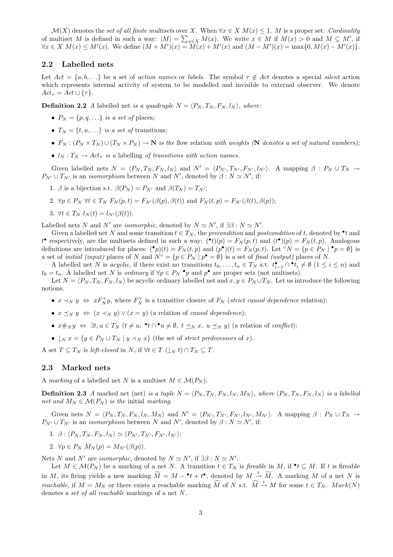$\mathcal{M}(X)$  denotes the set of all finite multisets over X. When  $\forall x \in X \ M(x) \leq 1$ , M is a proper set. Cardinality of multiset M is defined in such a way:  $|M| = \sum_{x \in X} M(x)$ . We write  $x \in M$  if  $M(x) > 0$  and  $M \subseteq M'$ , if  $\forall x \in X \ M(x) \leq M'(x)$ . We define  $(M + M')(x) = \widetilde{M}(x) + M'(x)$  and  $(M - M')(x) = \max\{0, M(x) - M'(x)\}.$ 

#### 2.2 Labelled nets

Let  $Act = \{a, b, \ldots\}$  be a set of action names or labels. The symbol  $\tau \notin Act$  denotes a special silent action which represents internal activity of system to be modelled and invisible to external observer. We denote  $Act_{\tau} = Act \cup {\tau}.$ 

**Definition 2.2** A labelled net is a quadruple  $N = \langle P_N, T_N, F_N, l_N \rangle$ , where:

- $P_N = \{p, q, \ldots\}$  is a set of places;
- $T_N = \{t, u, ...\}$  is a set of transitions;
- $F_N$ :  $(P_N \times T_N) \cup (T_N \times P_N) \to \mathbb{N}$  is the flow relation with weights (N denotes a set of natural numbers);
- $l_N: T_N \to Act_\tau$  is a labelling of transitions with action names.

Given labelled nets  $N = \langle P_N , T_N , F_N , l_N \rangle$  and  $N' = \langle P_{N'} , T_{N'} , F_{N'} , l_{N'} \rangle$ . A mapping  $\beta : P_N \cup T_N \rightarrow$  $P_{N'} \cup T_{N'}$  is an *isomorphism* between N and N', denoted by  $\beta : N \simeq N'$ , if:

- 1.  $\beta$  is a bijection s.t.  $\beta(P_N) = P_{N'}$  and  $\beta(T_N) = T_{N'}$ ;
- 2.  $\forall p \in P_N \ \forall t \in T_N \ F_N(p,t) = F_{N'}(\beta(p), \beta(t))$  and  $F_N(t,p) = F_{N'}(\beta(t), \beta(p));$
- 3.  $\forall t \in T_N$   $l_N(t) = l_{N'}(\beta(t)).$

Labelled nets N and N' are isomorphic, denoted by  $N \simeq N'$ , if  $\exists \beta : N \simeq N'$ .

Given a labelled net N and some transition  $t \in T_N$ , the precondition and postcondition of t, denoted by  $\bullet t$  and  $t^{\bullet}$  respectively, are the multisets defined in such a way:  $({}^{\bullet}t)(p) = F_N(p,t)$  and  $(t^{\bullet})(p) = F_N(t,p)$ . Analogous definitions are introduced for places:  $\binom{\bullet}{p}(t) = F_N(t, p)$  and  $(p^{\bullet})(t) = F_N(p, t)$ . Let °N = { $p \in P_N | \bullet p = \emptyset$ } is a set of *initial (input)* places of N and  $N^{\circ} = \{p \in P_N \mid p^{\bullet} = \emptyset\}$  is a set of *final (output)* places of N.

A labelled net N is acyclic, if there exist no transitions  $t_0, \ldots, t_n \in T_N$  s.t.  $t_{i-1}^{\bullet} \cap t_i \neq \emptyset$   $(1 \leq i \leq n)$  and  $t_0 = t_n$ . A labelled net N is *ordinary* if  $\forall p \in P_N \cdot p$  and  $p^{\bullet}$  are proper sets (not multisets).

Let  $N = \langle P_N, T_N, F_N, l_N \rangle$  be acyclic ordinary labelled net and  $x, y \in P_N \cup T_N$ . Let us introduce the following notions.

- $x \prec_N y \Leftrightarrow x F_N^+ y$ , where  $F_N^+$  is a transitive closure of  $F_N$  (strict causal dependence relation);
- $x \prec_N y \Leftrightarrow (x \prec_N y) \vee (x = y)$  (a relation of causal dependence);
- $x \#_N y \Leftrightarrow \exists t, u \in T_N$   $(t \neq u, \neg t \cap \neg u \neq \emptyset, t \preceq_N x, u \preceq_N y)$  (a relation of *conflict*);
- $\downarrow_N x = \{y \in P_N \cup T_N \mid y \prec_N x\}$  (the set of *strict predecessors* of x).

A set  $T \subseteq T_N$  is left-closed in N, if  $\forall t \in T \left(\downarrow_N t\right) \cap T_N \subseteq T$ .

### 2.3 Marked nets

A marking of a labelled net N is a multiset  $M \in \mathcal{M}(P_N)$ .

**Definition 2.3** A marked net (net) is a tuple  $N = \langle P_N, T_N, F_N, l_N, M_N \rangle$ , where  $\langle P_N, T_N, F_N, l_N \rangle$  is a labelled net and  $M_N \in \mathcal{M}(P_N)$  is the initial marking.

Given nets  $N = \langle P_N, T_N, F_N, l_N, M_N \rangle$  and  $N' = \langle P_{N'}, T_{N'}, F_{N'}, l_{N'}, M_{N'} \rangle$ . A mapping  $\beta : P_N \cup T_N \rightarrow$  $P_{N'} \cup T_{N'}$  is an *isomorphism* between N and N', denoted by  $\beta : N \simeq N'$ , if:

- 1.  $\beta$  :  $\langle P_N, T_N, F_N, l_N \rangle \simeq \langle P_{N'}, T_{N'}, F_{N'}, l_{N'} \rangle;$
- 2.  $\forall p \in P_N$   $M_N(p) = M_{N'}(\beta(p)).$

Nets N and N' are isomorphic, denoted by  $N \simeq N'$ , if  $\exists \beta : N \simeq N'$ .

Let  $M \in \mathcal{M}(P_N)$  be a marking of a net N. A transition  $t \in T_N$  is fireable in M, if  $\bullet t \subseteq M$ . If t is fireable in M, its firing yields a new marking  $\widetilde{M} = M - t + t^{\bullet}$ , denoted by  $M \stackrel{t}{\rightarrow} \widetilde{M}$ . A marking M of a net N is *reachable*, if  $M = M_N$  or there exists a reachable marking  $\widehat{M}$  of N s.t.  $\widehat{M} \stackrel{t}{\rightarrow} M$  for some  $t \in T_N$ .  $Mark(N)$ denotes a set of all reachable markings of a net N.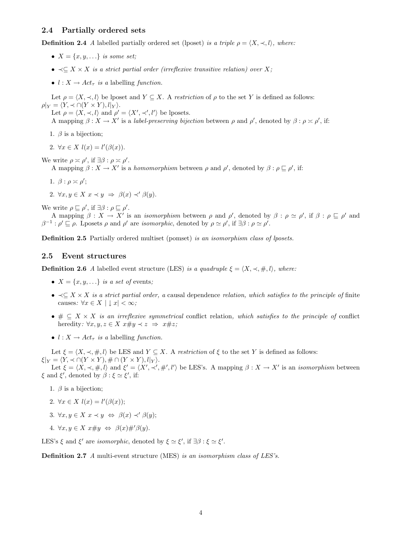### 2.4 Partially ordered sets

**Definition 2.4** A labelled partially ordered set (lposet) is a triple  $\rho = \langle X, \prec, l \rangle$ , where:

- $X = \{x, y, \ldots\}$  is some set;
- $\prec$  $\subset$  X  $\times$  X is a strict partial order (irreflexive transitive relation) over X;
- $l : X \rightarrow Act_{\tau}$  is a labelling function.

Let  $\rho = \langle X, \prec, l \rangle$  be lposet and  $Y \subseteq X$ . A restriction of  $\rho$  to the set Y is defined as follows:  $\rho|_Y = \langle Y, \prec \cap (Y \times Y), l|_Y \rangle.$ 

Let  $\rho = \langle X, \prec, l \rangle$  and  $\rho' = \langle X', \prec', l' \rangle$  be lposets.

A mapping  $\beta: X \to X'$  is a *label-preserving bijection* between  $\rho$  and  $\rho'$ , denoted by  $\beta: \rho \ge \rho'$ , if:

- 1.  $\beta$  is a bijection;
- 2.  $\forall x \in X$   $l(x) = l'(\beta(x)).$

We write  $\rho \asymp \rho'$ , if  $\exists \beta : \rho \asymp \rho'$ . A mapping  $\beta: X \to X'$  is a homomorphism between  $\rho$  and  $\rho'$ , denoted by  $\beta: \rho \sqsubseteq \rho'$ , if:

1.  $\beta$  :  $\rho \asymp \rho'$ ;

2.  $\forall x, y \in X \ x \prec y \Rightarrow \beta(x) \prec' \beta(y)$ .

We write  $\rho \sqsubseteq \rho'$ , if  $\exists \beta : \rho \sqsubseteq \rho'$ .

A mapping  $\beta: X \to X'$  is an *isomorphism* between  $\rho$  and  $\rho'$ , denoted by  $\beta: \rho \simeq \rho'$ , if  $\beta: \rho \sqsubseteq \rho'$  and  $\beta^{-1}$ :  $\rho' \sqsubseteq \rho$ . Lposets  $\rho$  and  $\rho'$  are *isomorphic*, denoted by  $\rho \simeq \rho'$ , if  $\exists \beta : \rho \simeq \rho'$ .

Definition 2.5 Partially ordered multiset (pomset) is an isomorphism class of lposets.

#### 2.5 Event structures

**Definition 2.6** A labelled event structure (LES) is a quadruple  $\xi = \langle X, \prec, \#, l \rangle$ , where:

- $X = \{x, y, \ldots\}$  is a set of events;
- $\prec \subset X \times X$  is a strict partial order, a causal dependence relation, which satisfies to the principle of finite causes:  $\forall x \in X \mid x \mid < \infty$ ;
- $\# \subseteq X \times X$  is an irreflexive symmetrical conflict relation, which satisfies to the principle of conflict heredity:  $\forall x, y, z \in X \; x \# y \prec z \Rightarrow x \# z;$
- $l : X \rightarrow Act_{\tau}$  is a labelling function.

Let  $\xi = \langle X, \prec, \#, l \rangle$  be LES and  $Y \subseteq X$ . A restriction of  $\xi$  to the set Y is defined as follows:  $\xi|_Y = \langle Y, \prec \cap (Y \times Y), \# \cap (Y \times Y), l|_Y \rangle.$ 

Let  $\xi = \langle X, \prec, \#, l \rangle$  and  $\xi' = \langle X', \prec', \#', l' \rangle$  be LES's. A mapping  $\beta : X \to X'$  is an *isomorphism* between  $\xi$  and  $\xi'$ , denoted by  $\beta : \xi \simeq \xi'$ , if:

- 1.  $\beta$  is a bijection;
- 2.  $\forall x \in X \; l(x) = l'(\beta(x));$
- 3.  $\forall x, y \in X \ x \prec y \Leftrightarrow \ \beta(x) \prec' \beta(y);$
- 4.  $\forall x, y \in X \ x \# y \Leftrightarrow \beta(x) \#' \beta(y)$ .

LES's  $\xi$  and  $\xi'$  are *isomorphic*, denoted by  $\xi \simeq \xi'$ , if  $\exists \beta : \xi \simeq \xi'$ .

Definition 2.7 A multi-event structure (MES) is an isomorphism class of LES's.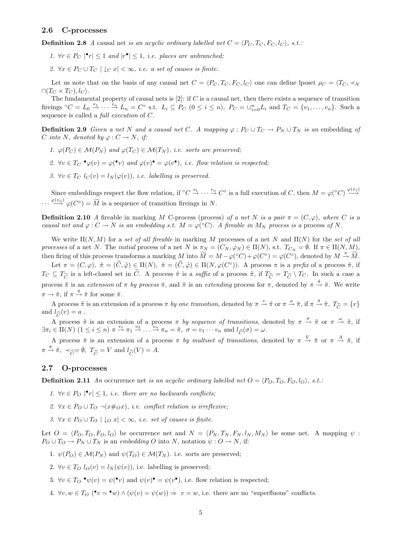#### 2.6 C-processes

**Definition 2.8** A causal net is an acyclic ordinary labelled net  $C = \langle P_C, T_C, F_C, l_C \rangle$ , s.t.:

- 1.  $\forall r \in P_C \mid \mathbf{r} \leq 1$  and  $|\mathbf{r} \cdot \mathbf{r}| \leq 1$ , i.e. places are unbranched;
- 2.  $\forall x \in P_C \cup T_C \mid \downarrow_C x \mid < \infty$ , i.e. a set of causes is finite.

Let us note that on the basis of any causal net  $C = \langle P_C, T_C, F_C, l_C \rangle$  one can define lposet  $\rho_C = \langle T_C, \prec_N \rangle$  $\cap (T_C \times T_C), l_C$ .

The fundamental property of causal nets is  $[2]$ : if C is a causal net, then there exists a sequence of transition fireings  ${}^{\circ}C = L_0 \stackrel{v_1}{\rightarrow} \cdots \stackrel{v_n}{\rightarrow} L_n = C^{\circ}$  s.t.  $L_i \subseteq P_C$   $(0 \leq i \leq n)$ ,  $P_C = \bigcup_{i=0}^n L_i$  and  $T_C = \{v_1, \ldots, v_n\}$ . Such a sequence is called a full execution of C.

**Definition 2.9** Given a net N and a causal net C. A mapping  $\varphi : P_C \cup T_C \to P_N \cup T_N$  is an embedding of C into N, denoted by  $\varphi: C \to N$ , if:

- 1.  $\varphi(P_C) \in \mathcal{M}(P_N)$  and  $\varphi(T_C) \in \mathcal{M}(T_N)$ , i.e. sorts are preserved;
- 2.  $\forall v \in T_C \bullet \varphi(v) = \varphi(\bullet v)$  and  $\varphi(v) \bullet \varphi(v)$ , i.e. flow relation is respected;
- 3.  $\forall v \in T_C$   $l_C(v) = l_N(\varphi(v))$ , *i.e.* labelling is preserved.

Since embeddings respect the flow relation, if  ${}^{\circ}C \stackrel{v_1}{\rightarrow} \cdots \stackrel{v_n}{\rightarrow} C^{\circ}$  is a full execution of C, then  $M = \varphi({}^{\circ}C) \stackrel{\varphi(v_1)}{\rightarrow} C^{\circ}$  $\cdots \stackrel{\varphi(v_n)}{\longrightarrow} \varphi(C^{\circ}) = \widetilde{M}$  is a sequence of transition fireings in N.

**Definition 2.10** A fireable in marking M C-process (process) of a net N is a pair  $\pi = (C, \varphi)$ , where C is a causal net and  $\varphi: C \to N$  is an embedding s.t.  $M = \varphi({}^{\circ}C)$ . A fireable in  $M_N$  process is a process of N.

We write  $\Pi(N, M)$  for a set of all fireable in marking M processes of a net N and  $\Pi(N)$  for the set of all processes of a net N. The *initial* process of a net N is  $\pi_N = (C_N, \varphi_N) \in \Pi(N)$ , s.t.  $T_{C_N} = \emptyset$ . If  $\pi \in \Pi(N, M)$ , then firing of this process transforms a marking M into  $\widetilde{M} = M - \varphi({}^{\circ}C) + \varphi(C^{\circ}) = \varphi(C^{\circ}),$  denoted by  $M \stackrel{\pi}{\to} \widetilde{M}$ .

Let  $\pi = (C, \varphi), \tilde{\pi} = (\tilde{C}, \tilde{\varphi}) \in \Pi(N), \hat{\pi} = (\hat{C}, \hat{\varphi}) \in \Pi(N, \varphi(C^{\circ})).$  A process  $\pi$  is a prefix of a process  $\tilde{\pi}$ , if  $T_C \subseteq T_{\widetilde{C}}$  is a left-closed set in  $\widetilde{C}$ . A process  $\hat{\pi}$  is a suffix of a process  $\tilde{\pi}$ , if  $T_{\widehat{C}} = T_{\widetilde{C}} \setminus T_C$ . In such a case a process  $\tilde{\pi}$  is an extension of  $\pi$  by process  $\hat{\pi}$ , and  $\hat{\pi}$  is an extending process for  $\pi$ , denoted by  $\pi \stackrel{\hat{\pi}}{\rightarrow} \tilde{\pi}$ . We write  $\pi \to \tilde{\pi}$ , if  $\pi \stackrel{\hat{\pi}}{\to} \tilde{\pi}$  for some  $\hat{\pi}$ .

A process  $\tilde{\pi}$  is an extension of a process  $\pi$  by one transition, denoted by  $\pi \stackrel{v}{\rightarrow} \tilde{\pi}$  or  $\pi \stackrel{a}{\rightarrow} \tilde{\pi}$ , if  $\pi \stackrel{\hat{\pi}}{\rightarrow} \tilde{\pi}$ ,  $T_{\widehat{C}} = \{v\}$ and  $l_{\widehat{C}}(v) = a$ .

A process  $\tilde{\pi}$  is an extension of a process  $\pi$  by sequence of transitions, denoted by  $\pi \stackrel{\sigma}{\rightarrow} \tilde{\pi}$  or  $\pi \stackrel{\omega}{\rightarrow} \tilde{\pi}$ , if  $\exists \pi_i \in \Pi(N) \ (1 \leq i \leq n) \ \pi \stackrel{v_1}{\rightarrow} \pi_1 \stackrel{v_2}{\rightarrow} \dots \stackrel{v_n}{\rightarrow} \pi_n = \tilde{\pi}, \ \sigma = v_1 \cdots v_n \text{ and } l_{\widehat{C}}(\sigma) = \omega.$ 

A process  $\tilde{\pi}$  is an extension of a process  $\pi$  by multiset of transitions, denoted by  $\pi \stackrel{V}{\to} \tilde{\pi}$  or  $\pi \stackrel{A}{\to} \tilde{\pi}$ , if  $\pi \stackrel{\hat{\pi}}{\rightarrow} \tilde{\pi}, \prec_{\widehat{C}} = \emptyset, T_{\widehat{C}} = V \text{ and } l_{\widehat{C}}(V) = A.$ 

#### 2.7 O-processes

**Definition 2.11** An occurrence net is an acyclic ordinary labelled net  $O = \langle P_O, T_O, F_O, I_O \rangle$ , s.t.:

- 1.  $\forall r \in P_O \mid r \leq 1$ , i.e. there are no backwards conflicts;
- 2.  $\forall x \in P_O \cup T_O \neg (x \#_O x)$ , *i.e. conflict relation is irreflexive*;
- 3.  $\forall x \in P_0 \cup T_0 \mid \downarrow o x \mid < \infty$ , i.e. set of causes is finite.

Let  $O = \langle P_O, T_O, F_O, l_O \rangle$  be occurrence net and  $N = \langle P_N, T_N, F_N, l_N, M_N \rangle$  be some net. A mapping  $\psi$ :  $P_O \cup T_O \to P_N \cup T_N$  is an embedding O into N, notation  $\psi: O \to N$ , if:

- 1.  $\psi(P_O) \in \mathcal{M}(P_N)$  and  $\psi(T_O) \in \mathcal{M}(T_N)$ . i.e. sorts are preserved;
- 2.  $\forall v \in T_O$   $l_O(v) = l_N(\psi(v))$ , i.e. labelling is preserved;
- 3.  $\forall v \in T_O \bullet \psi(v) = \psi(\bullet v)$  and  $\psi(v) \bullet \psi(v)$ , i.e. flow relation is respected;
- 4.  $\forall v, w \in T_O$  ( $\bullet v = \bullet w$ )  $\land (\psi(v) = \psi(w)) \Rightarrow v = w$ , i.e. there are no "superfluous" conflicts.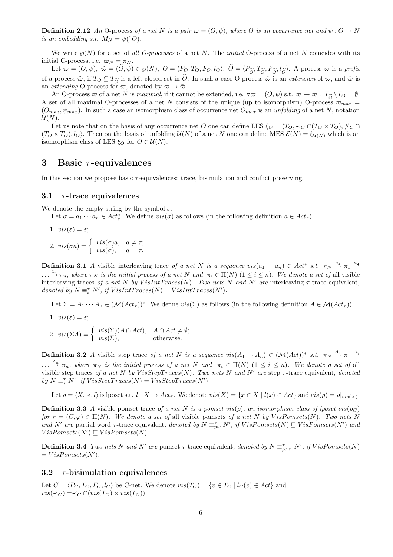**Definition 2.12** An O-process of a net N is a pair  $\varpi = (O, \psi)$ , where O is an occurrence net and  $\psi : O \to N$ is an embedding s.t.  $M_N = \psi({}^{\circ}O)$ .

We write  $\wp(N)$  for a set of all O-processes of a net N. The initial O-process of a net N coincides with its initial C-process, i.e.  $\varpi_N = \pi_N$ .

Let  $\vec{\omega} = (O, \psi), \ \tilde{\omega} = (\tilde{O}, \tilde{\psi}) \in \wp(N), \ O = \langle P_O, T_O, F_O, l_O \rangle, \ \tilde{O} = \langle P_{\widetilde{O}}, T_{\widetilde{O}}, F_{\widetilde{O}}, l_{\widetilde{O}} \rangle.$  A process  $\varpi$  is a prefix of a process  $\tilde{\varpi}$ , if  $T_O \subseteq T_{\widetilde{O}}$  is a left-closed set in  $\tilde{O}$ . In such a case O-process  $\tilde{\varpi}$  is an extension of  $\varpi$ , and  $\hat{\varpi}$  is an extending O-process for  $\varpi$ , denoted by  $\varpi \to \tilde{\varpi}$ .

An O-process  $\varpi$  of a net N is maximal, if it cannot be extended, i.e.  $\forall \varpi = (O, \psi)$  s.t.  $\varpi \to \tilde{\varpi}$ :  $T_{\tilde{O}} \setminus T_O = \emptyset$ . A set of all maximal O-processes of a net N consists of the unique (up to isomorphism) O-process  $\varpi_{max}$  =  $(O_{max}, \psi_{max})$ . In such a case an isomorphism class of occurrence net  $O_{max}$  is an unfolding of a net N, notation  $\mathcal{U}(N)$ .

Let us note that on the basis of any occurrence net O one can define LES  $\xi_O = \langle T_O, \prec_O \cap (T_O \times T_O), \#_O \cap$  $(T_O \times T_O), l_O$ . Then on the basis of unfolding  $U(N)$  of a net N one can define MES  $\mathcal{E}(N) = \xi_{U(N)}$  which is an isomorphism class of LES  $\xi_O$  for  $O \in \mathcal{U}(N)$ .

### 3 Basic  $\tau$ -equivalences

In this section we propose basic  $\tau$ -equivalences: trace, bisimulation and conflict preserving.

#### 3.1  $\tau$ -trace equivalences

We denote the empty string by the symbol  $\varepsilon$ .

Let  $\sigma = a_1 \cdots a_n \in Act^*_\tau$ . We define  $vis(\sigma)$  as follows (in the following definition  $a \in Act_\tau$ ).

1. 
$$
vis(\varepsilon) = \varepsilon
$$
;  
\n2.  $vis(\sigma a) = \begin{cases} vis(\sigma)a, & a \neq \tau \\ vis(\sigma), & a = \tau. \end{cases}$ 

**Definition 3.1** A visible interleaving trace of a net N is a sequence  $vis(a_1 \cdots a_n) \in Act^* s.t. \pi_N \stackrel{a_1}{\rightarrow} \pi_1 \stackrel{a_2}{\rightarrow}$  $\ldots \stackrel{a_n}{\to} \pi_n$ , where  $\pi_N$  is the initial process of a net N and  $\pi_i \in \Pi(N)$   $(1 \leq i \leq n)$ . We denote a set of all visible interleaving traces of a net N by VisIntTraces(N). Two nets N and N' are interleaving  $\tau$ -trace equivalent, denoted by  $N \equiv_i^{\tau} N'$ , if  $VisIntTraces(N) = VisIntTraces(N').$ 

Let  $\Sigma = A_1 \cdots A_n \in (\mathcal{M}(Act_\tau))^*$ . We define  $vis(\Sigma)$  as follows (in the following definition  $A \in \mathcal{M}(Act_\tau)$ ).

1. 
$$
vis(\varepsilon) = \varepsilon
$$

2.  $vis(\Sigma A) = \begin{cases} vis(\Sigma)(A \cap Act), & A \cap Act \neq \emptyset; \\ us(\Sigma) & \text{otherwise} \end{cases}$  $vis(\Sigma)$ , otherwise.

**Definition 3.2** A visible step trace of a net N is a sequence  $vis(A_1 \cdots A_n) \in (\mathcal{M}(Act))^*$  s.t.  $\pi_N \stackrel{A_1}{\rightarrow} \pi_1 \stackrel{A_2}{\rightarrow}$  $\ldots \stackrel{A_n}{\rightarrow} \pi_n$ , where  $\pi_N$  is the initial process of a net N and  $\pi_i \in \Pi(N)$   $(1 \leq i \leq n)$ . We denote a set of all visible step traces of a net N by VisStepTraces(N). Two nets N and N' are step  $\tau$ -trace equivalent, denoted by  $N \equiv_s^{\tau} N'$ , if  $VisStepTrace(N) = VisStepTrace(N')$ .

Let  $\rho = \langle X, \prec, l \rangle$  is lposet s.t.  $l : X \to Act_\tau$ . We denote  $vis(X) = \{x \in X \mid l(x) \in Act\}$  and  $vis(\rho) = \rho|_{vis(X)}$ .

**Definition 3.3** A visible pomset trace of a net N is a pomset vis( $\rho$ ), an isomorphism class of lposet vis( $\rho$ C) for  $\pi = (C, \varphi) \in \Pi(N)$ . We denote a set of all visible pomsets of a net N by VisPomsets(N). Two nets N and N' are partial word  $\tau$ -trace equivalent, denoted by  $N \equiv_{pw}^{\tau} N'$ , if  $VisPomsets(N) \sqsubseteq VisPomsets(N')$  and  $VisPomsets(N') \sqsubseteq VisPomsets(N).$ 

**Definition 3.4** Two nets N and N' are pomset  $\tau$ -trace equivalent, denoted by  $N \equiv_{\text{pom}}^{\tau} N'$ , if  $VisPomsets(N)$  $= VisPomsets(N').$ 

#### 3.2  $\tau$ -bisimulation equivalences

Let  $C = \langle P_C, T_C, F_C, l_C \rangle$  be C-net. We denote  $vis(T_C) = \{v \in T_C \mid l_C(v) \in Act\}$  and  $vis(\prec_C) = \prec_C \cap (vis(T_C) \times vis(T_C)).$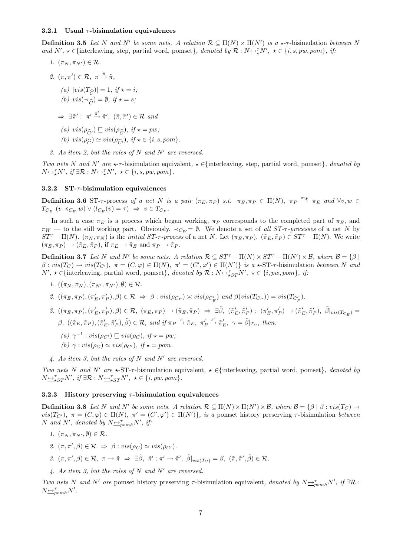#### 3.2.1 Usual  $\tau$ -bisimulation equivalences

1.  $(\pi_N, \pi_{N'}) \in \mathcal{R}$ .

**Definition 3.5** Let N and N' be some nets. A relation  $\mathcal{R} \subseteq \Pi(N) \times \Pi(N')$  is a  $\star$ - $\tau$ -bisimulation between N and  $N'$ ,  $\star \in \{\text{interleaving, step, partial word, pomset}\}\$ , denoted by  $\mathcal{R}: N \rightarrow N'$ ,  $\star \in \{i, s, pw, pom\}$ , if:

- 2.  $(\pi, \pi') \in \mathcal{R}, \pi \stackrel{\hat{\pi}}{\rightarrow} \tilde{\pi},$ (a)  $|vis(T_{\widehat{C}})| = 1, if \star = i;$ (b)  $vis(\prec_{\widehat{C}}) = \emptyset$ , if  $\star = s$ ;  $\Rightarrow \exists \tilde{\pi}' : \pi' \stackrel{\hat{\pi}'}{\rightarrow} \tilde{\pi}', \ (\tilde{\pi}, \tilde{\pi}') \in \mathcal{R} \text{ and}$ (a)  $vis(\rho_{\widehat{C}'} ) \sqsubseteq vis(\rho_{\widehat{C}})$ , if  $\star = pw$ ; (b)  $vis(\rho_{\widehat{C}}) \simeq vis(\rho_{\widehat{C}'})$ , if  $\star \in \{i, s, pom\}$ .
- 3. As item 2, but the roles of N and N' are reversed.

Two nets N and N' are  $\star$ - $\tau$ -bisimulation equivalent,  $\star \in$ {interleaving, step, partial word, pomset}, denoted by  $N \stackrel{\leftrightarrow}{\longrightarrow} N'$ , if  $\exists \mathcal{R} : N \stackrel{\leftrightarrow}{\longrightarrow} N'$ ,  $\star \in \{i, s, pw, pom\}$ .

#### 3.2.2  $ST-\tau$ -bisimulation equivalences

**Definition 3.6** ST- $\tau$ -process of a net N is a pair  $(\pi_E, \pi_P)$  s.t.  $\pi_E, \pi_P \in \Pi(N)$ ,  $\pi_P \stackrel{\pi_W}{\to} \pi_E$  and  $\forall v, w \in$  $T_{C_E}$   $(v \prec_{C_E} w) \vee (l_{C_E}(v) = \tau) \Rightarrow v \in T_{C_P}.$ 

In such a case  $\pi_E$  is a process which began working,  $\pi_P$  corresponds to the completed part of  $\pi_E$ , and  $\pi_W$  — to the still working part. Obviously,  $\prec_{C_W} = \emptyset$ . We denote a set of all ST- $\tau$ -processes of a net N by  $ST^{\tau} - \Pi(N)$ .  $(\pi_N, \pi_N)$  is the *initial ST-* $\tau$ -process of a net N. Let  $(\pi_E, \pi_P)$ ,  $(\tilde{\pi}_E, \tilde{\pi}_P) \in ST^{\tau} - \Pi(N)$ . We write  $(\pi_E, \pi_P) \to (\tilde{\pi}_E, \tilde{\pi}_P)$ , if  $\pi_E \to \tilde{\pi}_E$  and  $\pi_P \to \tilde{\pi}_P$ .

**Definition 3.7** Let N and N' be some nets. A relation  $\mathcal{R} \subseteq ST^{\tau} - \Pi(N) \times ST^{\tau} - \Pi(N') \times \mathcal{B}$ , where  $\mathcal{B} = \{\beta \mid$  $\beta: vis(T_C) \to vis(T_{C'}), \pi = (C, \varphi) \in \Pi(N), \pi' = (C', \varphi') \in \Pi(N')\}$  is a  $\star$ -ST- $\tau$ -bisimulation between N and  $N', \star \in \{\text{interleaving, partial word, pomset}\},\ denoted by \mathcal{R}: N \rightarrow_{\star}^{\tau} N', \star \in \{i, pw, pom\},\ if:$ 

- 1.  $((\pi_N, \pi_N), (\pi_{N'}, \pi_{N'}), \emptyset) \in \mathcal{R}$ .
- 2.  $((\pi_E, \pi_P), (\pi'_E, \pi'_P), \beta) \in \mathcal{R} \Rightarrow \beta : vis(\rho_{C_E}) \approx vis(\rho_{C'_E})$  and  $\beta (vis(T_{C_P})) = vis(T_{C'_P})$ .
- $\label{eq:3.1} \begin{array}{ll} \beta. \ \left((\pi_E, \pi_P), (\pi_E', \pi_P'), \beta\right) \in \mathcal{R}, \ \left(\pi_E, \pi_P\right) \rightarrow \left(\tilde{\pi}_E, \tilde{\pi}_P\right) \ \Rightarrow \ \exists \tilde{\beta}, \ \left(\tilde{\pi}_E', \tilde{\pi}_P'\right) \colon \ \left(\pi_E', \pi_P'\right) \rightarrow \left(\tilde{\pi}_E', \tilde{\pi}_P'\right), \ \tilde{\beta}\vert_{vis(T_{CE})} = \end{array}$  $\beta$ ,  $((\tilde{\pi}_E, \tilde{\pi}_P), (\tilde{\pi}'_E, \tilde{\pi}'_P), \tilde{\beta}) \in \mathcal{R}$ , and if  $\pi_P \stackrel{\pi}{\rightarrow} \tilde{\pi}_E$ ,  $\pi'_F$  $\stackrel{\pi'}{\rightarrow} \tilde{\pi}'_E$ ,  $\gamma = \tilde{\beta}|_{T_C}$ , then:
	- (a)  $\gamma^{-1}$  :  $vis(\rho_{C'}) \sqsubseteq vis(\rho_C)$ , if  $\star = pw$ ;
	- (b)  $\gamma : vis(\rho_C) \simeq vis(\rho_{C'})$ , if  $\star = pom$ .
- 4. As item 3, but the roles of N and N' are reversed.

Two nets N and N' are  $\star$ -ST- $\tau$ -bisimulation equivalent,  $\star \in$ {interleaving, partial word, pomset}, denoted by  $N \underbrace{\leftrightarrow}^{\tau}_{\star ST} N', \text{ if } \exists \mathcal{R} : N \underbrace{\leftrightarrow}^{\tau}_{\star ST} N', \star \in \{i, pw, pom\}.$ 

#### 3.2.3 History preserving  $\tau$ -bisimulation equivalences

**Definition 3.8** Let N and N' be some nets. A relation  $\mathcal{R} \subseteq \Pi(N) \times \Pi(N') \times \mathcal{B}$ , where  $\mathcal{B} = \{\beta \mid \beta : vis(T_C) \rightarrow \Pi(N') \times \Pi(N') \times \mathcal{B} \}$  $vis(T_{C}), \pi = (C, \varphi) \in \Pi(N), \pi' = (C', \varphi') \in \Pi(N')\},\$  is a pomset history preserving  $\tau$ -bisimulation between N and N', denoted by  $N \underline{\leftrightarrow}_{pomh}^{\tau} N'$ , if:

- 1.  $(\pi_N, \pi_{N'}, \emptyset) \in \mathcal{R}$ .
- 2.  $(\pi, \pi', \beta) \in \mathcal{R} \Rightarrow \beta : vis(\rho_C) \simeq vis(\rho_{C}).$
- $\beta$ .  $(\pi, \pi', \beta) \in \mathcal{R}, \ \pi \to \tilde{\pi} \Rightarrow \exists \tilde{\beta}, \ \tilde{\pi}' : \pi' \to \tilde{\pi}', \ \tilde{\beta}|_{vis(T_{C})} = \beta, \ (\tilde{\pi}, \tilde{\pi}', \tilde{\beta}) \in \mathcal{R}.$
- 4. As item 3, but the roles of N and N' are reversed.

Two nets N and N' are pomset history preserving  $\tau$ -bisimulation equivalent, denoted by  $N \rightarrow_{pcmh} N'$ , if  $\exists \mathcal{R}$ :  $N \underline{\leftrightarrow}_{pomh}^{\tau} N'$ .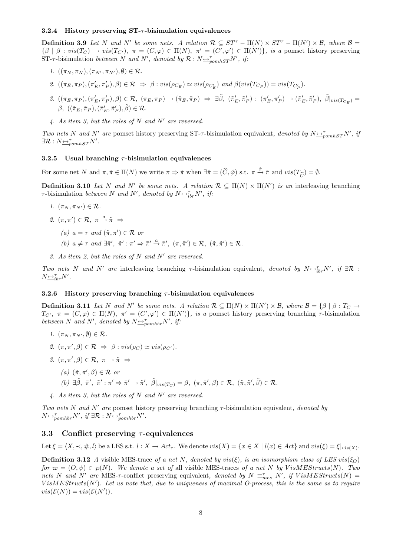#### 3.2.4 History preserving  $ST$ - $\tau$ -bisimulation equivalences

**Definition 3.9** Let N and N' be some nets. A relation  $\mathcal{R} \subseteq ST^{\tau} - \Pi(N) \times ST^{\tau} - \Pi(N') \times \mathcal{B}$ , where  $\mathcal{B} =$  $\{\beta \mid \beta : vis(T_C) \to vis(T_{C'}), \pi = (C, \varphi) \in \Pi(N), \pi' = (C', \varphi') \in \Pi(N')\},$  is a pomset history preserving ST- $\tau$ -bisimulation between N and N', denoted by  $\mathcal{R}: N \rightarrow_{\text{pomhST}} N'$ , if:

- 1.  $((\pi_N, \pi_N), (\pi_{N'}, \pi_{N'}), \emptyset) \in \mathcal{R}$ .
- 2.  $((\pi_E, \pi_P), (\pi'_E, \pi'_P), \beta) \in \mathcal{R} \Rightarrow \beta : vis(\rho_{C_E}) \simeq vis(\rho_{C'_E})$  and  $\beta (vis(T_{C_P})) = vis(T_{C'_P})$ .
- $\label{eq:3.1} \begin{array}{ll} \beta. \ \left((\pi_E, \pi_P), (\pi_E', \pi_P'), \beta\right) \in \mathcal{R}, \ \left(\pi_E, \pi_P\right) \rightarrow \left(\tilde{\pi}_E, \tilde{\pi}_P\right) \ \Rightarrow \ \exists \tilde{\beta}, \ \left(\tilde{\pi}_E', \tilde{\pi}_P'\right) \colon \ \left(\pi_E', \pi_P'\right) \rightarrow \left(\tilde{\pi}_E', \tilde{\pi}_P'\right), \ \tilde{\beta}\vert_{vis(T_{CE})} = \end{array}$  $\beta, \; ((\tilde{\pi}_E, \tilde{\pi}_P),(\tilde{\pi}'_E, \tilde{\pi}'_P), \tilde{\beta}) \in \mathcal{R}.$
- 4. As item 3, but the roles of N and N' are reversed.

Two nets N and N' are pomset history preserving ST- $\tau$ -bisimulation equivalent, denoted by  $N \rightarrow_{pombST} N'$ , if  $\exists \mathcal{R}: N \rightarrow_{\text{pomhST}}^{\tau} N'.$ 

#### 3.2.5 Usual branching  $\tau$ -bisimulation equivalences

For some net N and  $\pi, \tilde{\pi} \in \Pi(N)$  we write  $\pi \Rightarrow \tilde{\pi}$  when  $\exists \hat{\pi} = (\hat{C}, \hat{\varphi})$  s.t.  $\pi \stackrel{\hat{\pi}}{\to} \tilde{\pi}$  and  $vis(T_{\widehat{C}}) = \emptyset$ .

**Definition 3.10** Let N and N' be some nets. A relation  $\mathcal{R} \subseteq \Pi(N) \times \Pi(N')$  is an interleaving branching  $\tau$ -bisimulation between N and N', denoted by  $N \rightarrow_{ibr}^{\tau} N'$ , if:

- 1.  $(\pi_N, \pi_{N'}) \in \mathcal{R}$ .
- 2.  $(\pi, \pi') \in \mathcal{R}, \pi \stackrel{a}{\rightarrow} \tilde{\pi} \Rightarrow$ 
	- (a)  $a = \tau$  and  $(\tilde{\pi}, \pi') \in \mathcal{R}$  or
	- (b)  $a \neq \tau$  and  $\exists \bar{\pi}', \tilde{\pi}' : \pi' \Rightarrow \bar{\pi}' \stackrel{a}{\rightarrow} \tilde{\pi}', (\pi, \bar{\pi}') \in \mathcal{R}, (\tilde{\pi}, \tilde{\pi}') \in \mathcal{R}.$
- 3. As item 2, but the roles of N and N' are reversed.

Two nets N and N' are interleaving branching  $\tau$ -bisimulation equivalent, denoted by  $N \rightarrow_{ibr} N'$ , if  $\exists \mathcal{R}$ :  $N \underline{\leftrightarrow}_{ibr}^{\tau} N'$ .

#### 3.2.6 History preserving branching  $\tau$ -bisimulation equivalences

**Definition 3.11** Let N and N' be some nets. A relation  $\mathcal{R} \subseteq \Pi(N) \times \Pi(N') \times \mathcal{B}$ , where  $\mathcal{B} = \{\beta \mid \beta : T_{C} \rightarrow \mathcal{B} \}$  $T_{C'}$ ,  $\pi = (C, \varphi) \in \Pi(N)$ ,  $\pi' = (C', \varphi') \in \Pi(N')$ , is a pomset history preserving branching  $\tau$ -bisimulation between N and N', denoted by  $N \triangleq_{pomhbr}^{\tau} N'$ , if:

- 1.  $(\pi_N, \pi_{N'}, \emptyset) \in \mathcal{R}$ .
- 2.  $(\pi, \pi', \beta) \in \mathcal{R} \Rightarrow \beta : vis(\rho_C) \simeq vis(\rho_{C}).$
- 3.  $(\pi, \pi', \beta) \in \mathcal{R}, \pi \to \tilde{\pi} \Rightarrow$ 
	- (a)  $(\tilde{\pi}, \pi', \beta) \in \mathcal{R}$  or
		- $(b) \exists \tilde{\beta}, \bar{\pi}', \tilde{\pi}' : \pi' \Rightarrow \bar{\pi}' \rightarrow \tilde{\pi}', \tilde{\beta}|_{vis(T_C)} = \beta, (\pi, \bar{\pi}', \beta) \in \mathcal{R}, (\tilde{\pi}, \tilde{\pi}', \tilde{\beta}) \in \mathcal{R}.$
- 4. As item 3, but the roles of N and N' are reversed.

Two nets N and N' are pomset history preserving branching  $\tau$ -bisimulation equivalent, denoted by  $N \triangleq_{pomhbr}^{\tau} N'$ , if  $\exists \mathcal{R}: N \triangleq_{pomhbr}^{\tau} N'$ .

### 3.3 Conflict preserving  $\tau$ -equivalences

Let  $\xi = \langle X, \prec, \#, l \rangle$  be a LES s.t.  $l : X \to Act_{\tau}$ . We denote  $vis(X) = \{x \in X \mid l(x) \in Act\}$  and  $vis(\xi) = \xi|_{vis(X)}$ .

**Definition 3.12** A visible MES-trace of a net N, denoted by vis( $\xi$ ), is an isomorphism class of LES vis( $\xi_O$ ) for  $\varpi = (O, \psi) \in \wp(N)$ . We denote a set of all visible MES-traces of a net N by VisMEStructs(N). Two nets N and N' are MES- $\tau$ -conflict preserving equivalent, denoted by  $N \equiv_{mes}^{\tau} N'$ , if  $VisMESTrvcts(N) =$  $VisMEstructs(N')$ . Let us note that, due to uniqueness of maximal O-process, this is the same as to require  $vis(\mathcal{E}(N)) = vis(\mathcal{E}(N')).$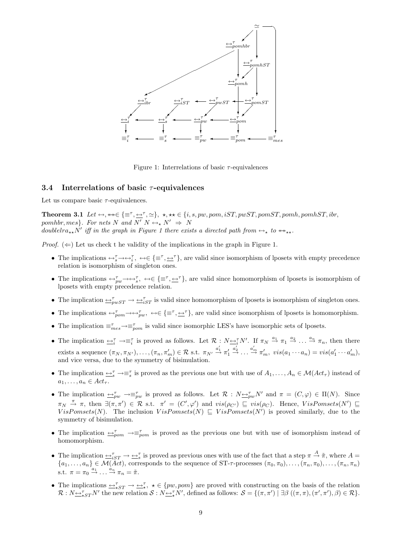

Figure 1: Interrelations of basic  $\tau$ -equivalences

#### 3.4 Interrelations of basic  $\tau$ -equivalences

Let us compare basic  $\tau$ -equivalences.

Theorem 3.1 Let ↔, ↔↔∈ {≡<sup>τ</sup> , ↔<sup>τ</sup> , '}, ?, ?? ∈ {i, s, pw, pom, iST, pwST, pomST, pomh, pomhST, ibr, pomhbr, mes}. For nets N and  $\overline{N'}$   $\overline{N} \leftrightarrow N' \Rightarrow \overline{N}$ doublel  $ra_{**}N'$  iff in the graph in Figure 1 there exists a directed path from  $\leftrightarrow_{*}$  to  $\leftrightarrow_{**}$ .

*Proof.* ( $\Leftarrow$ ) Let us check t he validity of the implications in the graph in Figure 1.

- The implications  $\leftrightarrow_{s}^{\tau} \rightarrow \leftrightarrow_{i}^{\tau}$ ,  $\leftrightarrow \in \{\equiv^{\tau}, \pm^{\tau}\}$ , are valid since isomorphism of lposets with empty precedence relation is isomorphism of singleton ones.
- The implications  $\leftrightarrow_{pw}^{\tau} \leftrightarrow \leftrightarrow_{s}^{\tau}$ ,  $\leftrightarrow \in \{\equiv^{\tau}, \underline{\leftrightarrow}^{\tau}\}\$ , are valid since homomorphism of lposets is isomorphism of lposets with empty precedence relation.
- The implication  $\Rightarrow_{pwST}^{\tau} \rightarrow \leftrightarrow_{iST}^{\tau}$  is valid since homomorphism of lposets is isomorphism of singleton ones.
- The implications  $\leftrightarrow_{\text{pom}}^{\tau} \rightarrow \leftrightarrow_{\text{pwc}}^{\tau}$ ,  $\leftrightarrow \in \{\equiv^{\tau}, \underline{\leftrightarrow}^{\tau}\}\$ , are valid since isomorphism of lposets is homomorphism.
- The implication  $\equiv_{mes}^{\tau} \rightarrow \equiv_{pon}^{\tau}$  is valid since isomorphic LES's have isomorphic sets of lposets.
- The implication  $\overline{\leftrightarrow_i^{\tau}} \rightarrow \equiv_i^{\tau}$  is proved as follows. Let  $\mathcal{R}: N \underline{\leftrightarrow_i^{\tau}} N'$ . If  $\pi_N \stackrel{a_1}{\rightarrow} \pi_1 \stackrel{a_2}{\rightarrow} \ldots \stackrel{a_n}{\rightarrow} \pi_n$ , then there exists a sequence  $(\pi_N, \pi_{N'}), \ldots, (\pi_n, \pi'_m) \in \mathcal{R}$  s.t.  $\pi_{N'} \stackrel{a'_1}{\rightarrow} \pi'_1$  $\stackrel{a'_2}{\rightarrow} \ldots \stackrel{a'_m}{\rightarrow} \pi'_m$ ,  $vis(a_1 \cdots a_n) = vis(a'_1 \cdots a'_m)$ , and vice versa, due to the symmetry of bisimulation.
- The implication  $\leq_s^{\tau} \to \equiv_s^{\tau}$  is proved as the previous one but with use of  $A_1, \ldots, A_n \in \mathcal{M}(Act_{\tau})$  instead of  $a_1, \ldots, a_n \in Act_\tau$ .
- The implication  $\rightarrow_{pw}^{\tau} \rightarrow \equiv_{pw}^{\tau}$  is proved as follows. Let  $\mathcal{R}: N \rightarrow_{pw}^{\tau} N'$  and  $\pi = (C, \varphi) \in \Pi(N)$ . Since  $\pi_N \stackrel{\pi}{\to} \pi$ , then  $\exists (\pi, \pi') \in \mathcal{R}$  s.t.  $\pi' = (C', \varphi')$  and  $vis(\rho_{C'}) \subseteq vis(\rho_C)$ . Hence,  $VisPomsets(N') \subseteq$ VisPomsets(N). The inclusion  $VisPomsets(N) \sqsubseteq VisPomsets(N')$  is proved similarly, due to the symmetry of bisimulation.
- The implication  $\Rightarrow_{\text{pom}}^{\tau} \rightarrow \equiv_{\text{pom}}^{\tau}$  is proved as the previous one but with use of isomorphism instead of homomorphism.
- The implication  $\Rightarrow_{iST}^{\tau} \rightarrow \Rightarrow_{s}^{\tau}$  is proved as previous ones with use of the fact that a step  $\pi \stackrel{A}{\rightarrow} \tilde{\pi}$ , where  $A =$  ${a_1,\ldots,a_n} \in \mathcal{M}(\tilde{A}ct)$ , corresponds to the sequence of ST- $\tau$ -processes  $(\pi_0,\pi_0),\ldots,(\pi_n,\pi_0),\ldots,(\pi_n,\pi_n)$ s.t.  $\pi = \pi_0 \stackrel{a_1}{\rightarrow} \dots \stackrel{a_n}{\rightarrow} \pi_n = \tilde{\pi}.$
- The implications  $\iff_{*ST} \to \iff_{*}^{\tau}$ ,  $\star \in \{pw, pom\}$  are proved with constructing on the basis of the relation  $\mathcal{R}: N \rightarrow_{\star}^{\tau} N'$  the new relation  $\mathcal{S}: N \rightarrow_{\star}^{\tau} N'$ , defined as follows:  $\mathcal{S} = \{(\pi, \pi') \mid \exists \beta \ ((\pi, \pi), (\pi', \pi'), \beta) \in \mathcal{R}\}.$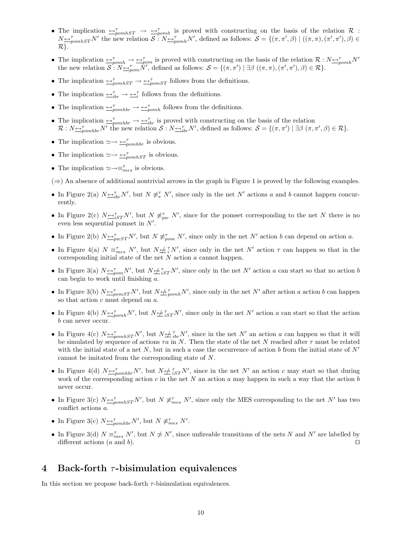- The implication  $\Rightarrow_{\text{pomhST}}^{\tau} \rightarrow \Rightarrow_{\text{pomh}}^{\tau}$  is proved with constructing on the basis of the relation R:  $N \rightarrow_{\text{pounds}T} N'$  the new relation  $S: N \rightarrow_{\text{pounds}}^T N'$ , defined as follows:  $S = \{(\pi, \pi', \beta) \mid ((\pi, \pi), (\pi', \pi'), \beta) \in$ R}.
- The implication  $\Rightarrow_{\text{p}omh}^{\tau} \rightarrow \Rightarrow_{\text{p}om}^{\tau}$  is proved with constructing on the basis of the relation  $\mathcal{R}: N \rightarrow_{\text{p}omh}^{\tau} N'$ the new relation  $S: N \rightarrow p_{\text{com}} N'$ , defined as follows:  $S = \{(\pi, \pi') \mid \exists \beta \ ((\pi, \pi), (\pi', \pi'), \beta) \in \mathcal{R}\}.$
- The implication  $\rightarrow_{\text{pomhST}}^{\tau} \rightarrow \rightarrow_{\text{pomST}}^{\tau}$  follows from the definitions.
- The implication  $\overline{\leftrightarrow}_{ibr}^{\tau} \rightarrow \overline{\leftrightarrow}_{i}^{\tau}$  follows from the definitions.
- The implication  $\rightarrow_{\mathcal{P}}^{\tau}$   $\rightarrow$   $\rightarrow_{\mathcal{P}}^{\tau}$  follows from the definitions.
- The implication  $\Rightarrow_{\text{p}}^{\tau}$   $\Rightarrow \Rightarrow_{\text{ibr}}^{\tau}$  is proved with constructing on the basis of the relation  $\mathcal{R}: N_{\frac{\alpha}{2}p o m h b r} N'$  the new relation  $\mathcal{S}: N_{\frac{\alpha}{2}b r} N'$ , defined as follows:  $\mathcal{S} = \{(\pi, \pi') \mid \exists \beta \ (\pi, \pi', \beta) \in \mathcal{R}\}.$
- The implication  $\simeq \rightarrow \underset{pomhbr}{\leftarrow}$  is obvious.
- The implication  $\simeq \rightarrow \underline{\leftrightarrow}_{pomhST}^{\tau}$  is obvious.
- The implication  $\simeq \rightarrow \equiv_{mes}^{\tau}$  is obvious.

 $(\Rightarrow)$  An absence of additional nontrivial arrows in the graph in Figure 1 is proved by the following examples.

- In Figure 2(a)  $N \rightarrow_{ibr}^{\tau} N'$ , but  $N \not\equiv_s^{\tau} N'$ , since only in the net N' actions a and b cannot happen concurrently.
- In Figure 2(c)  $N \rightarrow_{iST} N'$ , but  $N \not\equiv_{pw}^{\tau} N'$ , since for the pomset corresponding to the net N there is no even less sequential pomset in  $N'$ .
- In Figure 2(b)  $N \rightarrow_{pwST} N'$ , but  $N \not\equiv_{pom}^{\tau} N'$ , since only in the net N' action b can depend on action a.
- In Figure 4(a)  $N \equiv_{mes}^{\tau} N'$ , but  $N \nleftrightarrow \tau N'$ , since only in the net N' action  $\tau$  can happen so that in the corresponding initial state of the net N action a cannot happen.
- In Figure 3(a)  $N \rightarrow_{\text{p}}^{\tau} N'$ , but  $N \not\rightarrow_{i}^{\tau} N'$ , since only in the net N' action a can start so that no action b can begin to work until finishing a.
- In Figure 3(b)  $N \rightarrow_{\text{pomST}} N'$ , but  $N \not\rightarrow_{\text{pomh}} N'$ , since only in the net N' after action a action b can happen so that action c must depend on a.
- In Figure 4(b)  $N \rightarrow_{pcmh} N'$ , but  $N \not\rightarrow_{iST} N'$ , since only in the net N' action a can start so that the action b can never occur.
- In Figure 4(c)  $N \Leftrightarrow_{\text{pomhST}}^{\tau} N'$ , but  $N \Leftrightarrow_{\text{ibr}}^{\tau} N'$ , since in the net  $N'$  an action a can happen so that it will be simulated by sequence of actions  $\tau a$  in N. Then the state of the net N reached after  $\tau$  must be related with the initial state of a net N, but in such a case the occurrence of action b from the initial state of  $N'$ cannot be imitated from the corresponding state of N.
- In Figure 4(d)  $N \rightarrow_{pomhbr} N'$ , but  $N \not\equiv_{iST} N'$ , since in the net N' an action c may start so that during work of the corresponding action c in the net N an action a may happen in such a way that the action b never occur.
- In Figure 3(c)  $N \Leftrightarrow_{\text{pomhST}}^{\tau} N'$ , but  $N \not\equiv_{\text{mes}}^{\tau} N'$ , since only the MES corresponding to the net  $N'$  has two conflict actions a.
- In Figure 3(c)  $N \underline{\leftrightarrow}_{pomhbr}^{\tau} N'$ , but  $N \not\equiv_{mes}^{\tau} N'$ .
- In Figure 3(d)  $N \equiv_{mes}^{\tau} N'$ , but  $N \not\approx N'$ , since unfireable transitions of the nets N and N' are labelled by different actions  $(a \text{ and } b)$ .

# 4 Back-forth  $\tau$ -bisimulation equivalences

In this section we propose back-forth  $\tau$ -bisimulation equivalences.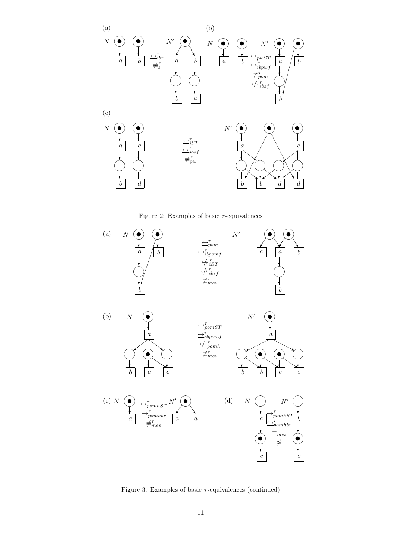

Figure 2: Examples of basic  $\tau$ -equivalences



Figure 3: Examples of basic  $\tau$ -equivalences (continued)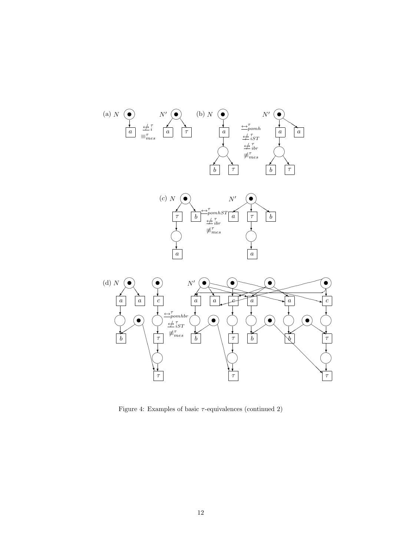

Figure 4: Examples of basic  $\tau$ -equivalences (continued 2)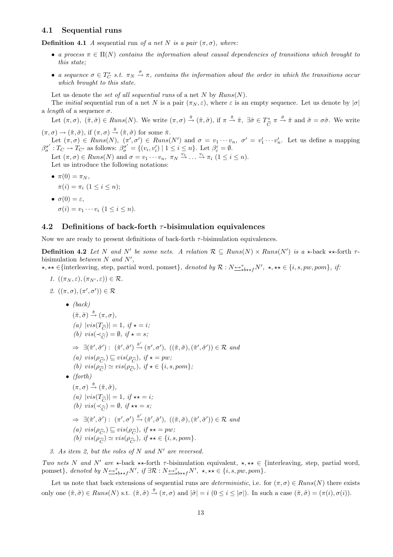#### 4.1 Sequential runs

**Definition 4.1** A sequential run of a net N is a pair  $(\pi, \sigma)$ , where:

- a process  $\pi \in \Pi(N)$  contains the information about causal dependencies of transitions which brought to this state;
- a sequence  $\sigma \in T_C^*$  s.t.  $\pi_N \stackrel{\sigma}{\to} \pi$ , contains the information about the order in which the transitions occur which brought to this state.

Let us denote the set of all sequential runs of a net N by  $Runs(N)$ .

The *initial* sequential run of a net N is a pair  $(\pi_N, \varepsilon)$ , where  $\varepsilon$  is an empty sequence. Let us denote by  $|\sigma|$ a *length* of a sequence  $\sigma$ .

Let  $(\pi, \sigma)$ ,  $(\tilde{\pi}, \tilde{\sigma}) \in Runs(N)$ . We write  $(\pi, \sigma) \stackrel{\hat{\pi}}{\rightarrow} (\tilde{\pi}, \tilde{\sigma})$ , if  $\pi \stackrel{\hat{\pi}}{\rightarrow} \tilde{\pi}$ ,  $\exists \hat{\sigma} \in T_{\widetilde{C}}^*$   $\pi \stackrel{\hat{\sigma}}{\rightarrow} \tilde{\pi}$  and  $\tilde{\sigma} = \sigma \hat{\sigma}$ . We write  $(\pi,\sigma) \to (\tilde{\pi},\tilde{\sigma}),$  if  $(\pi,\sigma) \stackrel{\hat{\pi}}{\to} (\tilde{\pi},\tilde{\sigma})$  for some  $\hat{\pi}$ .

Let  $(\pi, \sigma) \in Runs(N), \ (\pi', \sigma') \in Runs(N')$  and  $\sigma = v_1 \cdots v_n, \ \sigma' = v'_1 \cdots v'_n$ . Let us define a mapping  $\beta_{\sigma}^{\sigma'}: T_{C} \to T_{C'}$  as follows:  $\beta_{\sigma}^{\sigma'} = \{(v_i, v'_i) \mid 1 \leq i \leq n\}$ . Let  $\beta_{\varepsilon}^{\varepsilon} = \emptyset$ .

Let  $(\pi,\sigma) \in \mathit{Runs}(N)$  and  $\sigma = v_1 \cdots v_n, \ \pi_N \stackrel{v_1}{\rightarrow} \ldots \stackrel{v_i}{\rightarrow} \pi_i \ (1 \leq i \leq n).$ Let us introduce the following notations:

•  $\pi(0) = \pi_N$ ,  $\pi(i) = \pi_i \ (1 \leq i \leq n);$ 

• 
$$
\sigma(0) = \varepsilon
$$
,  
\n $\sigma(i) = v_1 \cdots v_i \ (1 \leq i \leq n).$ 

#### 4.2 Definitions of back-forth  $\tau$ -bisimulation equivalences

Now we are ready to present definitions of back-forth  $\tau$ -bisimulation equivalences.

**Definition 4.2** Let N and N' be some nets. A relation  $\mathcal{R} \subseteq Runs(N) \times Runs(N')$  is a  $\star$ -back  $\star \star$ -forth  $\tau$ bisimulation between  $N$  and  $N'$ ,

?, ?? ∈{interleaving, step, partial word, pomset}, denoted by R : N↔<sup>τ</sup> ?b??fN<sup>0</sup> , ?, ?? ∈ {i, s, pw, pom}, if:

1.  $((\pi_N, \varepsilon), (\pi_{N'}, \varepsilon)) \in \mathcal{R}$ .

2. 
$$
((\pi, \sigma), (\pi', \sigma')) \in \mathcal{R}
$$
  
\n•  $(back)$   
\n $(\tilde{\pi}, \tilde{\sigma}) \stackrel{\hat{\pi}}{\rightarrow} (\pi, \sigma),$   
\n $(a) |vis(T_{\widehat{C}})| = 1, if \star = i;$   
\n $(b) vis(\prec_{\widehat{C}}) = \emptyset, if \star = s;$   
\n $\Rightarrow \exists (\tilde{\pi}', \tilde{\sigma}') : (\tilde{\pi}', \tilde{\sigma}') \stackrel{\hat{\pi}'}{\rightarrow} (\pi', \sigma'), ((\tilde{\pi}, \tilde{\sigma}), (\tilde{\pi}', \tilde{\sigma}')) \in \mathcal{R}$  and  
\n $(a) vis(\rho_{\widehat{C}}) \sqsubseteq vis(\rho_{\widehat{C}}), if \star = pw;$   
\n $(b) vis(\rho_{\widehat{C}}) \simeq vis(\rho_{\widehat{C}'}), if \star \in \{i, s, pom\};$   
\n•  $(forth)$   
\n $(\pi, \sigma) \stackrel{\hat{\pi}}{\rightarrow} (\tilde{\pi}, \tilde{\sigma}),$   
\n $(a) |vis(T_{\widehat{C}})| = 1, if \star \star = i;$   
\n $(b) vis(\prec_{\widehat{C}}) = \emptyset, if \star \star = s;$   
\n $\Rightarrow \exists (\tilde{\pi}', \tilde{\sigma}') : (\pi', \sigma') \stackrel{\hat{\pi}'}{\rightarrow} (\tilde{\pi}', \tilde{\sigma}'), ((\tilde{\pi}, \tilde{\sigma}), (\tilde{\pi}', \tilde{\sigma}')) \in \mathcal{R}$  and  
\n $(a) vis(\rho_{\widehat{C}}) \sqsubseteq vis(\rho_{\widehat{C}}), if \star \star = pw;$   
\n $(b) vis(\rho_{\widehat{C}}) \simeq vis(\rho_{\widehat{C}'}), if \star \star \in \{i, s, pom\}.$ 

3. As item 2, but the roles of N and N' are reversed.

Two nets N and N' are  $\star$ -back  $\star\star$ -forth  $\tau$ -bisimulation equivalent,  $\star, \star\star \in \{$ interleaving, step, partial word, pomset}, denoted by  $N \rightarrow_{\text{obs+} f} N'$ , if  $\exists \mathcal{R} : N \rightarrow_{\text{obs+} f} N'$ ,  $\star, \star \star \in \{i, s, pw, pom\}$ .

Let us note that back extensions of sequential runs are *deterministic*, i.e. for  $(\pi, \sigma) \in Runs(N)$  there exists only one  $(\tilde{\pi}, \tilde{\sigma}) \in Runs(N)$  s.t.  $(\tilde{\pi}, \tilde{\sigma}) \stackrel{\hat{\pi}}{\rightarrow} (\pi, \sigma)$  and  $|\tilde{\sigma}| = i \ (0 \leq i \leq |\sigma|)$ . In such a case  $(\tilde{\pi}, \tilde{\sigma}) = (\pi(i), \sigma(i))$ .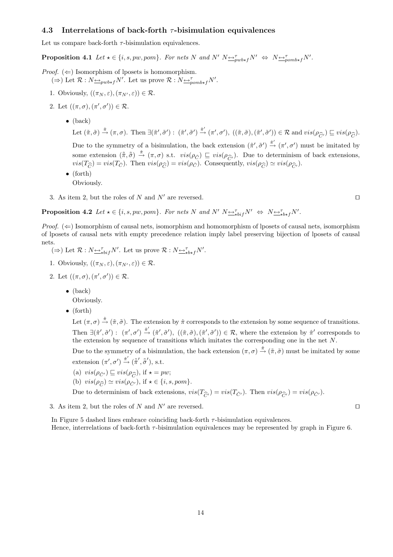#### 4.3 Interrelations of back-forth  $\tau$ -bisimulation equivalences

Let us compare back-forth  $\tau$ -bisimulation equivalences.

**Proposition 4.1** Let  $\star \in \{i, s, pw, pom\}$ . For nets N and N'  $N \rightarrow w \rightarrow_{pub\star f} N' \Leftrightarrow N \rightarrow_{pomb\star f} N'$ .

*Proof.*  $(\Leftarrow)$  Isomorphism of lposets is homomorphism.  $(\Rightarrow)$  Let  $\mathcal{R}: N_{\frac{\longleftrightarrow}{\mathcal{P}^{\text{w}}}} N'$ . Let us prove  $\mathcal{R}: N_{\frac{\longleftrightarrow}{\mathcal{P}^{\text{w}}}} N'$ .

- 1. Obviously,  $((\pi_N, \varepsilon), (\pi_{N'}, \varepsilon)) \in \mathcal{R}$ .
- 2. Let  $((\pi,\sigma),(\pi',\sigma')) \in \mathcal{R}$ .
	- (back)

Let  $(\tilde{\pi}, \tilde{\sigma}) \stackrel{\hat{\pi}}{\rightarrow} (\pi, \sigma)$ . Then  $\exists (\tilde{\pi}', \tilde{\sigma}') : (\tilde{\pi}', \tilde{\sigma}') \stackrel{\hat{\pi}'}{\rightarrow} (\pi', \sigma')$ ,  $((\tilde{\pi}, \tilde{\sigma}), (\tilde{\pi}', \tilde{\sigma}')) \in \mathcal{R}$  and  $vis(\rho_{\widehat{C}}) \sqsubseteq vis(\rho_{\widehat{C}})$ .

Due to the symmetry of a bisimulation, the back extension  $(\tilde{\pi}', \tilde{\sigma}') \stackrel{\hat{\pi}'}{\rightarrow} (\pi', \sigma')$  must be imitated by some extension  $(\tilde{\pi}, \tilde{\tilde{\sigma}}) \stackrel{\tilde{\pi}}{\rightarrow} (\pi, \sigma)$  s.t.  $vis(\rho_{\tilde{C}}) \sqsubseteq vis(\rho_{\hat{C}})$ . Due to determinism of back extensions,  $vis(T_{\widehat{C}}) = vis(T_{\check{C}})$ . Then  $vis(\rho_{\widehat{C}}) = vis(\rho_{\check{C}})$ . Consequently,  $vis(\rho_{\widehat{C}}) \simeq vis(\rho_{\widehat{C}'})$ .

- (forth) Obviously.
- 3. As item 2, but the roles of N and N' are reversed.

**Proposition 4.2** Let  $\star \in \{i, s, pw, pom\}$ . For nets N and N'  $N \rightarrow_{\star bif}^{\tau} N' \Leftrightarrow N \rightarrow_{\star b\star f}^{\tau} N'.$ 

*Proof.*  $(\Leftarrow)$  Isomorphism of causal nets, isomorphism and homomorphism of lposets of causal nets, isomorphism of lposets of causal nets with empty precedence relation imply label preserving bijection of lposets of causal nets.

- $(\Rightarrow)$  Let  $\mathcal{R}: N \rightarrow_{\mathbf{b} \star \mathbf{b}'} N'$ . Let us prove  $\mathcal{R}: N \rightarrow_{\mathbf{b} \star \mathbf{f}} N'$ .
- 1. Obviously,  $((\pi_N, \varepsilon),(\pi_{N'}, \varepsilon)) \in \mathcal{R}$ .
- 2. Let  $((\pi,\sigma),(\pi',\sigma')) \in \mathcal{R}$ .
	- $\bullet$  (back)
	- Obviously.
	- (forth)

Let  $(\pi, \sigma) \stackrel{\hat{\pi}}{\rightarrow} (\tilde{\pi}, \tilde{\sigma})$ . The extension by  $\hat{\pi}$  corresponds to the extension by some sequence of transitions. Then  $\exists (\tilde{\pi}', \tilde{\sigma}') : (\pi', \sigma') \stackrel{\hat{\pi}'}{\rightarrow} (\tilde{\pi}', \tilde{\sigma}'), ((\tilde{\pi}, \tilde{\sigma}), (\tilde{\pi}', \tilde{\sigma}')) \in \mathcal{R}$ , where the extension by  $\hat{\pi}'$  corresponds to the extension by sequence of transitions which imitates the corresponding one in the net  $N$ .

Due to the symmetry of a bisimulation, the back extension  $(\pi, \sigma) \stackrel{\hat{\pi}}{\rightarrow} (\tilde{\pi}, \tilde{\sigma})$  must be imitated by some extension  $(\pi', \sigma') \stackrel{\check{\pi}'}{\rightarrow} (\tilde{\pi}', \tilde{\sigma}')$ , s.t.

- (a)  $vis(\rho_{\tilde{C}'}) \sqsubseteq vis(\rho_{\widehat{C}})$ , if  $\star = pw$ ;
- (b)  $vis(\rho_{\widehat{C}}) \simeq vis(\rho_{\check{C}'})$ , if  $\star \in \{i, s, pom\}$ .

Due to determinism of back extensions,  $vis(T_{\hat{C}'} ) = vis(T_{\check{C}'} )$ . Then  $vis(\rho_{\hat{C}'} ) = vis(\rho_{\check{C}'} )$ .

3. As item 2, but the roles of N and N' are reversed.  $\square$ 

In Figure 5 dashed lines embrace coinciding back-forth  $\tau$ -bisimulation equivalences. Hence, interrelations of back-forth  $\tau$ -bisimulation equivalences may be represented by graph in Figure 6.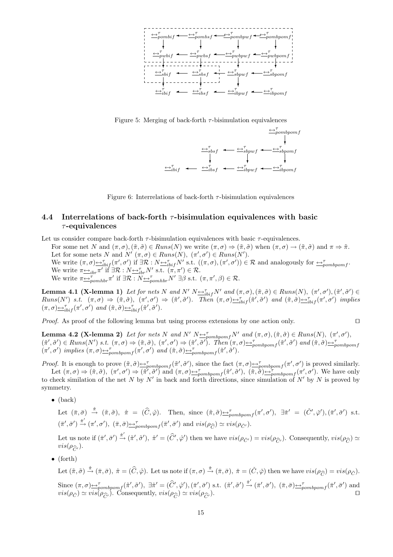

Figure 5: Merging of back-forth  $\tau$ -bisimulation equivalences



Figure 6: Interrelations of back-forth  $\tau$ -bisimulation equivalences

### 4.4 Interrelations of back-forth  $\tau$ -bisimulation equivalences with basic  $\tau$ -equivalences

Let us consider compare back-forth  $\tau$ -bisimulation equivalences with basic  $\tau$ -equivalences. For some net N and  $(\pi, \sigma), (\tilde{\pi}, \tilde{\sigma}) \in Runs(N)$  we write  $(\pi, \sigma) \Rightarrow (\tilde{\pi}, \tilde{\sigma})$  when  $(\pi, \sigma) \rightarrow (\tilde{\pi}, \tilde{\sigma})$  and  $\pi \Rightarrow \tilde{\pi}$ . Let for some nets N and N'  $(\pi, \sigma) \in Runs(N), (\pi', \sigma') \in Runs(N').$ We write  $(\pi, \sigma) \rightarrow_{ibif}^{\tau} (\pi', \sigma')$  if  $\exists \mathcal{R} : N \rightarrow_{ibif}^{\tau} N'$  s.t.  $((\pi, \sigma), (\pi', \sigma')) \in \mathcal{R}$  and analogously for  $\rightarrow_{pombpomf}^{\tau}$ . We write  $\pi \rightarrow i b r \pi'$  if  $\exists \mathcal{R} : N \rightarrow i b r N'$  s.t.  $(\pi, \pi') \in \mathcal{R}$ . We write  $\pi \underline{\leftrightarrow}_{pomhbr}^{\tau} \pi'$  if  $\exists \mathcal{R} : N \underline{\leftrightarrow}_{pomhbr}^{\tau} N' \exists \beta$  s.t.  $(\pi, \pi', \beta) \in \mathcal{R}$ .

**Lemma 4.1 (X-lemma 1)** Let for nets N and N'  $N \rightarrow_{i \to i} N'$  and  $(\pi, \sigma), (\tilde{\pi}, \tilde{\sigma}) \in Runs(N), (\pi', \sigma'), (\tilde{\pi}', \tilde{\sigma}') \in$  $Runs(N')$  s.t.  $(\pi,\sigma) \Rightarrow (\tilde{\pi},\tilde{\sigma}), \ (\pi',\sigma') \Rightarrow (\tilde{\pi}',\tilde{\sigma}')$ . Then  $(\pi,\sigma) \rightarrow_{ibif} (\tilde{\pi}',\tilde{\sigma}')$  and  $(\tilde{\pi},\tilde{\sigma}) \rightarrow_{ibif} (\pi',\sigma')$  implies  $(\pi,\sigma) \in_{i\text{bif}}^{\tau} (\pi',\sigma') \text{ and } (\tilde{\pi},\tilde{\sigma}) \in_{i\text{bif}}^{\tau} (\tilde{\pi}',\tilde{\sigma}')$ .

*Proof.* As proof of the following lemma but using process extensions by one action only.  $\square$ 

**Lemma 4.2 (X-lemma 2)** Let for nets N and N'  $N \rightarrow_{\text{pombpom}} N'$  and  $(\pi, \sigma), (\tilde{\pi}, \tilde{\sigma}) \in \text{Runs}(N), (\pi', \sigma'),$  $(\tilde{\pi}', \tilde{\sigma}') \in Runs(N') \text{ s.t. } (\pi, \sigma) \Rightarrow (\tilde{\pi}, \tilde{\sigma}), (\pi', \sigma') \Rightarrow (\tilde{\pi}', \tilde{\sigma}') \text{. Then } (\pi, \sigma) \triangleq_{\text{pombpomf}}^{\tau}(\tilde{\pi}', \tilde{\sigma}') \text{ and } (\tilde{\pi}, \tilde{\sigma}) \triangleq_{\text{pombpomf}}^{\tau}(\tilde{\pi}', \tilde{\sigma}')$  $(\pi', \sigma')$  implies  $(\pi, \sigma) \rightarrow_{\text{pombpomf}}^{\tau} (\pi', \sigma')$  and  $(\tilde{\pi}, \tilde{\sigma}) \rightarrow_{\text{pombpomf}}^{\tau} (\tilde{\pi}', \tilde{\sigma}')$ .

*Proof.* It is enough to prove  $(\tilde{\pi}, \tilde{\sigma}) \rightarrow_{\text{pombpom}}^{\tau} (\tilde{\pi}', \tilde{\sigma}')$ , since the fact  $(\pi, \sigma) \rightarrow_{\text{pombpom}}^{\tau} (\pi', \sigma')$  is proved similarly. Let  $(\pi, \sigma) \Rightarrow (\tilde{\pi}, \tilde{\sigma})$ ,  $(\pi', \sigma') \Rightarrow (\tilde{\pi}', \tilde{\sigma}')$  and  $(\pi, \sigma) \leftrightarrow_{pombpomf} (\tilde{\pi}', \tilde{\sigma}')$ ,  $(\tilde{\pi}, \tilde{\sigma}) \leftrightarrow_{pombpomf} (\pi', \sigma')$ . We have only

to check similation of the net N by N' in back and forth directions, since simulation of N' by N is proved by symmetry.

 $\bullet$  (back)

Let  $(\bar{\pi}, \bar{\sigma}) \stackrel{\hat{\pi}}{\rightarrow} (\tilde{\pi}, \tilde{\sigma})$ ,  $\hat{\pi} = (\hat{C}, \hat{\varphi})$ . Then, since  $(\tilde{\pi}, \tilde{\sigma}) \stackrel{\sim}{\rightarrow}_{\text{pombpom}} f(\pi', \sigma')$ ,  $\exists \tilde{\pi}' = (\check{C}', \check{\varphi}')$ ,  $(\bar{\pi}', \bar{\sigma}')$  s.t.  $(\bar{\pi}', \bar{\sigma}') \xrightarrow{\check{\pi}'} (\pi', \sigma'), \ (\bar{\pi}, \bar{\sigma}) \underline{\leftrightarrow}^{\tau}_{pombpomf}(\bar{\pi}', \bar{\sigma}') \text{ and } vis(\rho_{\widehat{C}}) \simeq vis(\rho_{\check{C}'}).$ 

Let us note if  $(\bar{\pi}', \bar{\sigma}') \stackrel{\hat{\pi}'}{\rightarrow} (\tilde{\pi}', \tilde{\sigma}')$ ,  $\hat{\pi}' = (\hat{C}', \hat{\varphi}')$  then we have  $vis(\rho_{\tilde{C}'}) = vis(\rho_{\widehat{C}'})$ . Consequently,  $vis(\rho_{\widehat{C}}) \simeq$  $vis(\rho_{\widehat{C}'}).$ 

• (forth)

Let  $(\tilde{\pi}, \tilde{\sigma}) \stackrel{\hat{\pi}}{\rightarrow} (\bar{\pi}, \bar{\sigma})$ ,  $\hat{\pi} = (\hat{C}, \hat{\varphi})$ . Let us note if  $(\pi, \sigma) \stackrel{\check{\pi}}{\rightarrow} (\bar{\pi}, \bar{\sigma})$ ,  $\check{\pi} = (\check{C}, \check{\varphi})$  then we have  $vis(\rho_{\hat{C}}) = vis(\rho_{\check{C}})$ .

Since  $(\pi, \sigma) \rightarrow_{\text{pombpomf}}^{\tau} (\tilde{\pi}', \tilde{\sigma}')$ ,  $\exists \hat{\pi}' = (\hat{C}', \hat{\varphi}')$ ,  $(\bar{\pi}', \bar{\sigma}')$  s.t.  $(\tilde{\pi}', \tilde{\sigma}') \stackrel{\hat{\pi}'}{\rightarrow} (\bar{\pi}', \bar{\sigma}')$ ,  $(\bar{\pi}, \bar{\sigma}) \rightarrow_{\text{pombpomf}}^{\tau} (\bar{\pi}', \bar{\sigma}')$  and  $vis(\rho_{\tilde{C}}) \simeq vis(\rho_{\hat{C}})$ . Consequently,  $vis(\rho_{\hat{C}}) \simeq vis(\rho_{\hat{C}})$ .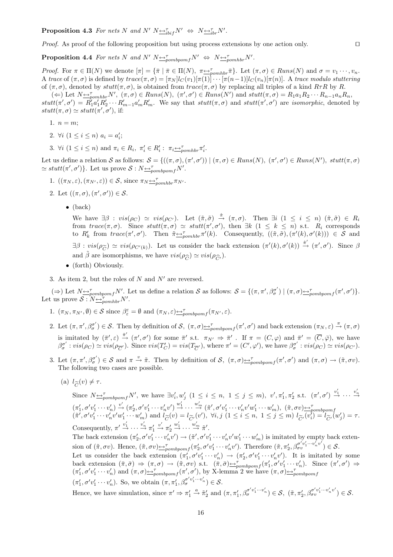**Proposition 4.3** For nets N and N'  $N \nightharpoonup_{\text{obj}}^{\tau} N' \Leftrightarrow N \nightharpoonup_{\text{ibr}}^{\tau} N'.$ 

*Proof.* As proof of the following proposition but using process extensions by one action only.  $\square$ 

**Proposition 4.4** For nets N and N'  $N \rightarrow \infty$ <sub>pombpomf</sub> $N' \Leftrightarrow N \rightarrow \infty$ <sub>pombbr</sub> $N'$ .

Proof. For  $\pi \in \Pi(N)$  we denote  $[\pi] = {\{\overline{\pi} \mid \overline{\pi} \in \Pi(N), \ \pi \underline{\leftrightarrow}^{\tau}_{pomhbr} \overline{\pi} \}.$  Let  $(\pi, \sigma) \in Runs(N)$  and  $\sigma = v_1 \cdots, v_n$ . A trace of  $(\pi, \sigma)$  is defined by  $trace(\pi, \sigma) = [\pi_N]l_C(v_1)[\pi(1)] \cdots [\pi(n-1)]l_C(v_n)[\pi(n)]$ . A trace modulo stuttering of  $(\pi, \sigma)$ , denoted by  $stutt(\pi, \sigma)$ , is obtained from  $trace(\pi, \sigma)$  by replacing all triples of a kind  $R\tau R$  by R.

 $(\Leftarrow)$  Let  $N \Leftrightarrow_{\text{p}}^{\tau} N'$ ,  $(\pi, \sigma) \in \text{Runs}(N)$ ,  $(\pi', \sigma') \in \text{Runs}(N')$  and  $\text{stutt}(\pi, \sigma) = R_1 a_1 R_2 \cdots R_{n-1} a_n R_n$ ,  $stutt(\pi', \sigma') = R_1' a_1' R_2' \cdots R_{m-1}' a_m' R_m'$ . We say that  $stutt(\pi, \sigma)$  and  $stutt(\pi', \sigma')$  are *isomorphic*, denoted by  $stutt(\pi, \sigma) \simeq stutt(\pi', \sigma'),$  if:

- 1.  $n = m$ ;
- 2.  $\forall i \ (1 \leq i \leq n) \ a_i = a'_i;$
- 3.  $\forall i \ (1 \leq i \leq n) \text{ and } \pi_i \in R_i, \ \pi'_i \in R'_i: \ \pi_i \underline{\leftrightarrow}_{pomhbr}^{\tau} \pi'_i.$

Let us define a relation S as follows:  $S = \{((\pi, \sigma), (\pi', \sigma')) \mid (\pi, \sigma) \in Runs(N), (\pi', \sigma') \in Runs(N'), \text{ } study(n, \sigma')\}$  $\simeq stutt(\pi', \sigma')\}$ . Let us prove  $S: N \rightarrow_{pombpomf}^{T} N'.$ 

- 1.  $((\pi_N, \varepsilon), (\pi_{N'}, \varepsilon)) \in \mathcal{S}$ , since  $\pi_N \stackrel{\sim}{\longrightarrow}_{\text{pomhbr}}^{\text{t}} \pi_{N'}$ .
- 2. Let  $((\pi,\sigma),(\pi',\sigma')) \in \mathcal{S}$ .
	- $\bullet$  (back)

We have  $\exists \beta : vis(\rho_C) \simeq vis(\rho_{C'})$ . Let  $(\tilde{\pi}, \tilde{\sigma}) \stackrel{\hat{\pi}}{\rightarrow} (\pi, \sigma)$ . Then  $\exists i \ (1 \leq i \leq n) \ (\tilde{\pi}, \tilde{\sigma}) \in R_i$ from  $trace(\pi,\sigma)$ . Since  $stutt(\pi,\sigma) \simeq stutt(\pi',\sigma')$ , then  $\exists k \ (1 \leq k \leq n)$  s.t.  $R_i$  corresponds to  $R'_k$  from  $trace(\pi', \sigma')$ . Then  $\tilde{\pi} \rightarrow_{pomhbr}^{\tau} \pi'(k)$ . Consequently,  $((\tilde{\pi}, \tilde{\sigma}), (\pi'(k), \sigma'(k))) \in S$  and  $\exists \beta : vis(\rho_{\widetilde{C}}) \simeq vis(\rho_{C'(k)})$ . Let us consider the back extension  $(\pi'(k), \sigma'(k)) \stackrel{\hat{\pi}'}{\rightarrow} (\pi', \sigma')$ . Since  $\beta$ and  $\tilde{\beta}$  are isomorphisms, we have  $vis(\rho_{\widehat{C}}) \simeq vis(\rho_{\widehat{C}})$ .

- (forth) Obviously.
- 3. As item 2, but the roles of  $N$  and  $N'$  are reversed.

( $\Rightarrow$ ) Let  $N \leq \tau_{\text{pombpomf}} N'$ . Let us define a relation S as follows:  $S = \{(\pi, \pi', \beta_{\sigma}^{\sigma'}) \mid (\pi, \sigma) \leq \tau_{\text{pombpomf}} (\pi', \sigma')\}.$ Let us prove  $S: N \rightarrow_{pomhbr}^{\tau} N'$ .

- 1.  $(\pi_N, \pi_{N'}, \emptyset) \in \mathcal{S}$  since  $\beta_{\varepsilon}^{\varepsilon} = \emptyset$  and  $(\pi_N, \varepsilon) \rightarrow_{pombpomf} (\pi_{N'}, \varepsilon)$ .
- 2. Let  $(\pi, \pi', \beta_{\sigma}^{\sigma'}) \in \mathcal{S}$ . Then by definition of  $\mathcal{S}$ ,  $(\pi, \sigma) \rightarrow_{pombpomf} (\pi', \sigma')$  and back extension  $(\pi_N, \varepsilon) \stackrel{\pi}{\rightarrow} (\pi, \sigma)$ is imitated by  $(\bar{\pi}', \varepsilon) \stackrel{\bar{\pi}'}{\rightarrow} (\pi', \sigma')$  for some  $\bar{\pi}'$  s.t.  $\pi_{N'} \Rightarrow \bar{\pi}'$ . If  $\pi = (C, \varphi)$  and  $\bar{\pi}' = (\overline{C}, \overline{\varphi})$ , we have  $\beta_{\sigma}^{\sigma'}: vis(\rho_C) \simeq vis(\rho_{\overline{C}'})$ . Since  $vis(T'_C) = vis(T_{\overline{C}'})$ , where  $\pi' = (C', \varphi')$ , we have  $\beta_{\sigma}^{\sigma'}: vis(\rho_C) \simeq vis(\rho_{C'})$ .
- 3. Let  $(\pi, \pi', \beta_{\sigma}^{\sigma'}) \in \mathcal{S}$  and  $\pi \stackrel{v}{\rightarrow} \tilde{\pi}$ . Then by definition of  $\mathcal{S}$ ,  $(\pi, \sigma) \rightarrow_{\sigma}^{\tau}(\pi', \sigma')$  and  $(\pi, \sigma) \rightarrow (\tilde{\pi}, \sigma v)$ . The following two cases are possible.
	- (a)  $l_{\widetilde{C}}(v) \neq \tau$ .

Since  $N_{\text{subp}}^{\tau}N'$ , we have  $\exists v_i', w_j' \ (1 \leq i \leq n, 1 \leq j \leq m)$ ,  $v', \pi'_1, \pi'_2$  s.t.  $(\pi', \sigma') \stackrel{v'_1}{\rightarrow} \cdots \stackrel{v'_n}{\rightarrow}$  $(\pi'_1, \sigma' v'_1 \cdots v'_n) \stackrel{v'}{\rightarrow} (\pi'_2, \sigma' v'_1 \cdots v'_n v') \stackrel{w'_1}{\rightarrow} \cdots \stackrel{w'_m}{\rightarrow} (\tilde{\pi}', \sigma' v'_1 \cdots v'_n v' w'_1 \cdots w'_m), \ (\tilde{\pi}, \sigma v) \rightarrow p_{\sigma m b p o m f}$ <br>  $(\tilde{\pi}', \sigma' v'_1 \cdots v'_n v' w'_1 \cdots w'_m)$  and  $l_{\widetilde{C}}(v) = l_{\widetilde{C'}}(v'), \ \forall i, j \ (1 \leq i \leq n, \ 1 \leq j \leq m$ Consequently,  $\pi' \stackrel{v'_1}{\rightarrow} \cdots \stackrel{v'_n}{\rightarrow} \pi'_1$  $\stackrel{v'}{\rightarrow} \pi'_2$  $\stackrel{w'_1}{\rightarrow} \cdots \stackrel{w'_m}{\rightarrow} \tilde{\pi}'$ . The back extension  $(\pi'_2, \sigma'v'_1 \cdots v'_n v') \rightarrow (\tilde{\pi}', \sigma' v'_1 \cdots v'_n v' w'_1 \cdots w'_m)$  is imitated by empty back extension of  $(\tilde{\pi}, \sigma v)$ . Hence,  $(\tilde{\pi}, \sigma v) \triangleq_{pombpomf}^{\tau} (\pi'_2, \sigma' v'_1 \cdots v'_n v')$ . Therefore  $(\tilde{\pi}, \pi'_2, \beta_{\sigma v}^{\sigma' v'_1 \cdots v'_n v'}) \in \mathcal{S}$ . Let us consider the back extension  $(\pi'_1, \sigma' v'_1 \cdots v'_n) \to (\pi'_2, \sigma' v'_1 \cdots v'_n v')$ . It is imitated by some back extension  $(\bar{\pi}, \bar{\sigma}) \Rightarrow (\pi, \sigma) \rightarrow (\tilde{\pi}, \sigma v)$  s.t.  $(\bar{\pi}, \bar{\sigma}) \rightarrow_{\text{pombpom}} (\pi'_1, \sigma' v'_1 \cdots v'_n)$ . Since  $(\pi', \sigma') \Rightarrow$  $(\pi'_1, \sigma' v'_1 \cdots v'_n)$  and  $(\pi, \sigma) \rightarrow_{\text{pombpomf}}^{\tau} (\pi', \sigma')$ , by X-lemma 2 we have  $(\pi, \sigma) \rightarrow_{\text{pombpomf}}^{\tau}$  $(\pi'_1, \sigma' v'_1 \cdots v'_n)$ . So, we obtain  $(\pi, \pi'_1, \beta_{\sigma}^{\sigma' v'_1 \cdots v'_n}) \in \mathcal{S}$ .

Hence, we have simulation, since  $\pi' \Rightarrow \pi'_1 \stackrel{a}{\rightarrow} \tilde{\pi}'_2$  and  $(\pi, \pi'_1, \beta_{\sigma}^{\sigma' v'_1 \cdots v'_n}) \in \mathcal{S}$ ,  $(\tilde{\pi}, \pi'_2, \beta_{\sigma}^{\sigma' v'_1 \cdots v'_n v'}) \in \mathcal{S}$ .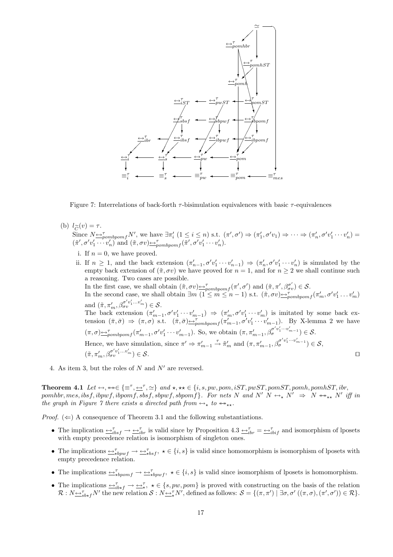

Figure 7: Interrelations of back-forth  $\tau$ -bisimulation equivalences with basic  $\tau$ -equivalences

(b)  $l_{\widetilde{C}}(v) = \tau$ .

Since  $N \rightarrow p_{\text{ombpomf}} N'$ , we have  $\exists \pi'_i \ (1 \leq i \leq n)$  s.t.  $(\pi', \sigma') \Rightarrow (\pi'_1, \sigma' v_1) \Rightarrow \cdots \Rightarrow (\pi'_n, \sigma' v'_1 \cdots v'_n) =$  $(\tilde{\pi}', \sigma' v'_1 \cdots v'_n)$  and  $(\tilde{\pi}, \sigma v) \rightarrow_{\text{pombpomf}}^{\tau} (\tilde{\pi}', \sigma' v'_1 \cdots v'_n)$ .

- i. If  $n = 0$ , we have proved.
- ii. If  $n \geq 1$ , and the back extension  $(\pi'_{n-1}, \sigma' v'_1 \cdots v'_{n-1}) \Rightarrow (\pi'_n, \sigma' v'_1 \cdots v'_n)$  is simulated by the empty back extension of  $(\tilde{\pi}, \sigma v)$  we have proved for  $n = 1$ , and for  $n \geq 2$  we shall continue such a reasoning. Two cases are possible. In the first case, we shall obtain  $(\tilde{\pi}, \sigma v) \rightarrow_{pombpomf}^{\tau} (\pi', \sigma')$  and  $(\tilde{\pi}, \pi', \beta_{\sigma v}^{\sigma'}) \in \mathcal{S}$ . In the second case, we shall obtain  $\exists m \ (1 \leq m \leq n-1) \text{ s.t. } (\tilde{\pi}, \sigma v) \rightarrow_{\text{pombpomf}}^{\tau} (\pi'_m, \sigma' v'_1 \dots v'_m)$ and  $(\tilde{\pi}, \pi'_m, \beta_{\sigma v}^{\sigma' v'_1 \dots v'_m}) \in \mathcal{S}$ . The back extension  $(\pi'_{m-1}, \sigma' v'_1 \cdots v'_{m-1}) \Rightarrow (\pi'_m, \sigma' v'_1 \cdots v'_m)$  is imitated by some back extension  $(\bar{\pi}, \bar{\sigma}) \Rightarrow (\pi, \sigma)$  s.t.  $(\bar{\pi}, \bar{\sigma}) \rightarrow_{\text{pombpom}}^{\tau} (\pi'_{m-1}, \sigma' v'_1 \cdots v'_{m-1})$ . By X-lemma 2 we have  $(\pi,\sigma) \rightarrow_{pombpomf}^{\tau} (\pi'_{m-1}, \sigma' v'_1 \cdots v'_{m-1})$ . So, we obtain  $(\pi, \pi'_{m-1}, \beta_{\sigma}^{\sigma' v'_1 \cdots v'_{m-1}}) \in \mathcal{S}$ . Hence, we have simulation, since  $\pi' \Rightarrow \pi'_{m-1} \stackrel{\tau}{\rightarrow} \tilde{\pi}'_m$  and  $(\pi, \pi'_{m-1}, \beta_{\sigma}^{\sigma' v'_1 \cdots v'_{m-1}}) \in \mathcal{S}$ ,  $(\tilde{\pi}, \pi'_m, \beta^{\sigma'v'_1 \dots v'_m}_{\sigma v}) \in \mathcal{S}.$
- 4. As item 3, but the roles of  $N$  and  $N'$  are reversed.

Theorem 4.1 Let ↔, ↔↔∈ {≡<sup>τ</sup> , ↔<sup>τ</sup> , '} and ?, ?? ∈ {i, s, pw, pom, iST, pwST, pomST, pomh, pomhST, ibr, pomhbr, mes, ibsf, ibpwf, ibpomf, sbsf, sbpwf, sbpomf}. For nets N and N'  $N \leftrightarrow_N N' \Rightarrow N \leftrightarrow_N N'$  iff in the graph in Figure 7 there exists a directed path from  $\leftrightarrow_{\star}$  to  $\leftrightarrow_{\star\star}$ .

*Proof.* ( $\Leftarrow$ ) A consequence of Theorem 3.1 and the following substantiations.

- The implication  $\Rightarrow_{ibsf}^{\tau} \rightarrow \Rightarrow_{ibr}^{\tau}$  is valid since by Proposition 4.3  $\Rightarrow_{ibr}^{\tau} = \leftrightarrow_{ibr}^{\tau}$  and isomorphism of lposets with empty precedence relation is isomorphism of singleton ones.
- The implications  $\overline{\leftrightarrow}_{\star bpyf}^{\tau} \rightarrow \overline{\leftrightarrow}_{\star bsf}^{\tau}$ ,  $\star \in \{i, s\}$  is valid since homomorphism is isomorphism of lposets with empty precedence relation.
- The implications  $\leftrightarrow_{\star}^{\tau}$   $\leftrightarrow$   $\leftrightarrow_{\star}^{\tau}$   $\star$   $\in$   $\{i, s\}$  is valid since isomorphism of lposets is homomorphism.
- The implications  $\overline{\leftrightarrow}_{ib*f}^{\tau} \rightarrow \overline{\leftrightarrow}_{*}^{\tau}$ ,  $\star \in \{s, pw, pom\}$  is proved with constructing on the basis of the relation  $\mathcal{R}: N_{\frac{\alpha}{2} s b \star f} N'$  the new relation  $\mathcal{S}: N_{\frac{\alpha}{2} \star} N'$ , defined as follows:  $\mathcal{S} = \{(\pi, \pi') \mid \exists \sigma, \sigma' ((\pi, \sigma), (\pi', \sigma')) \in \mathcal{R}\}.$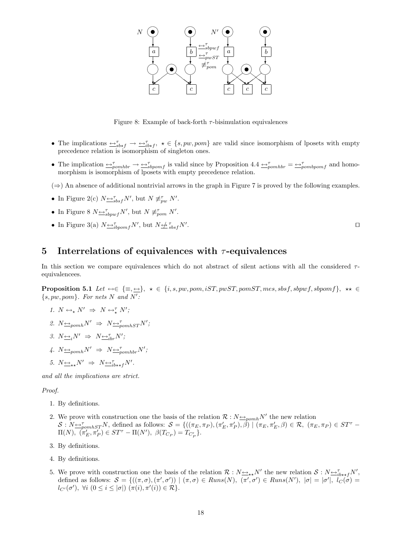

Figure 8: Example of back-forth  $\tau$ -bisimulation equivalences

- The implications  $\iff_{sb \star f}^{\tau} \to \iff_{ib \star f}^{\tau}$ ,  $\star \in \{s, pw, pom\}$  are valid since isomorphism of lposets with empty precedence relation is isomorphism of singleton ones.
- The implication  $\Rightarrow_{\tau}^{\tau} \rightarrow \Rightarrow_{\tau}^{\tau}$  is valid since by Proposition 4.4  $\Rightarrow_{\tau}^{\tau} \rightarrow \Rightarrow_{\tau}^{\tau}$  and homomorphism is isomorphism of lposets with empty precedence relation.

 $(\Rightarrow)$  An absence of additional nontrivial arrows in the graph in Figure 7 is proved by the following examples.

- In Figure 2(c)  $N \underline{\leftrightarrow}^{\tau}_{sbsf} N'$ , but  $N \not\equiv^{\tau}_{pw} N'$ .
- In Figure 8  $N \rightarrow_{sbpwf} N'$ , but  $N \not\equiv_{pom} N'$ .
- In Figure 3(a)  $N \rightarrow_{ibpomf} N'$ , but  $N \not\rightarrow_{sbsf} N'$

### 5 Interrelations of equivalences with  $\tau$ -equivalences

In this section we compare equivalences which do not abstract of silent actions with all the considered  $\tau$ equivalencees.

Proposition 5.1 Let ↔∈ {≡, ↔}, ? ∈ {i, s, pw, pom, iST, pwST, pomST, mes, sbsf, sbpwf, sbpomf }, ?? ∈  $\{s, pw, pom\}$ . For nets N and N':

- 1.  $N \leftrightarrow_{\star} N' \Rightarrow N \leftrightarrow_{\star}^{\tau} N'$ ;
- 2.  $N \rightarrow p_{\text{om}} N' \Rightarrow N \rightarrow p_{\text{om}} N'$ ;
- 3.  $N \underline{\leftrightarrow}_i N' \Rightarrow N \underline{\leftrightarrow}_{i}^{\tau} N'$ ;
- 4.  $N \underline{\leftrightarrow}_{pomh} N' \Rightarrow N \underline{\leftrightarrow}_{pomhbr}^{\tau} N';$
- 5.  $N_{\underbrace{\longleftrightarrow}_{\star} N'} \Rightarrow N_{\underbrace{\longleftrightarrow}_{l} b_{\star \star f}} N'.$

and all the implications are strict.

#### Proof.

- 1. By definitions.
- 2. We prove with construction one the basis of the relation  $\mathcal{R}: N \rightarrow_{\text{p}omh} N'$  the new relation  $\mathcal{S}: N_{\frac{\mu}{2}p o m h S T} N$ , defined as follows:  $\mathcal{S} = \{((\pi_E, \pi_P), (\pi'_E, \pi'_P), \hat{\beta}) \mid (\pi_E, \pi'_E, \beta) \in \mathcal{R}, (\pi_E, \pi_P) \in ST^{\tau}$  $\Pi(N), \; (\pi'_E, \pi'_P) \in ST^{\tau} - \Pi(N'), \; \beta(T_{C_P}) = T_{C'_P}$ .
- 3. By definitions.
- 4. By definitions.
- 5. We prove with construction one the basis of the relation  $\mathcal{R}: N \rightarrow r \rightarrow N'$  the new relation  $\mathcal{S}: N \rightarrow r \rightarrow r \rightarrow N'$ , defined as follows:  $S = \{((\pi, \sigma), (\pi', \sigma')) \mid (\pi, \sigma) \in Runs(N), (\pi', \sigma') \in Runs(N'), |\sigma| = |\sigma'|, \overline{l_C(\sigma)} =$  $l_{C'}(\sigma')$ ,  $\forall i \ (0 \leq i \leq |\sigma|) \ (\pi(i), \pi'(i)) \in \mathcal{R} \}.$

. The contract of the contract of the contract of the contract of the contract of the contract of the contract of the contract of the contract of the contract of the contract of the contract of the contract of the contract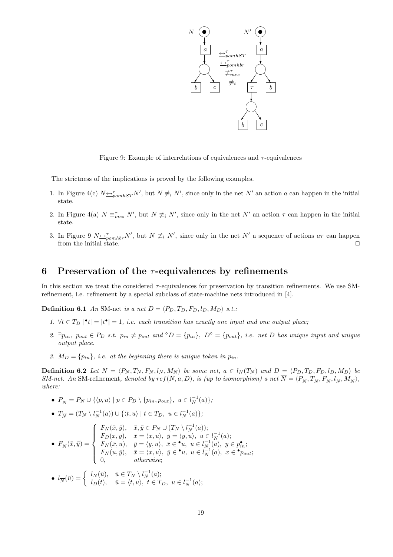

Figure 9: Example of interrelations of equivalences and  $\tau$ -equivalences

The strictness of the implications is proved by the following examples.

- 1. In Figure 4(c)  $N \Leftrightarrow_{\text{pomhST}}^{\tau} N'$ , but  $N \not\equiv_i N'$ , since only in the net  $N'$  an action a can happen in the initial state.
- 2. In Figure 4(a)  $N \equiv_{mes}^{\tau} N'$ , but  $N \not\equiv_i N'$ , since only in the net  $N'$  an action  $\tau$  can happen in the initial state.
- 3. In Figure 9  $N \nightharpoonup_{pomhbr} N'$ , but  $N \not\equiv_i N'$ , since only in the net  $N'$  a sequence of actions  $a\tau$  can happen from the initial state.  $\Box$

## 6 Preservation of the  $\tau$ -equivalences by refinements

In this section we treat the considered  $\tau$ -equivalences for preservation by transition refinements. We use SMrefinement, i.e. refinement by a special subclass of state-machine nets introduced in [4].

**Definition 6.1** An SM-net is a net  $D = \langle P_D, T_D, F_D, l_D, M_D \rangle$  s.t.:

- 1.  $\forall t \in T_D \mid t \mid t^{\bullet} \mid = 1$ , i.e. each transition has exactly one input and one output place;
- 2.  $\exists p_{in}$ ,  $p_{out} \in P_D$  s.t.  $p_{in} \neq p_{out}$  and  $\circ D = \{p_{in}\}, D^{\circ} = \{p_{out}\}, i.e.$  net D has unique input and unique output place.
- 3.  $M_D = \{p_{in}\}\$ , i.e. at the beginning there is unique token in  $p_{in}$ .

**Definition 6.2** Let  $N = \langle P_N, T_N, F_N, l_N, M_N \rangle$  be some net,  $a \in l_N(T_N)$  and  $D = \langle P_D, T_D, F_D, l_D, M_D \rangle$  be SM-net. An SM-refinement, denoted by  $ref(N, a, D)$ , is (up to isomorphism) a net  $\overline{N} = \langle P_{\overline{N}}, T_{\overline{N}}, F_{\overline{N}}, I_{\overline{N}}, M_{\overline{N}} \rangle$ , where:

•  $P_{\overline{N}} = P_N \cup \{ \langle p, u \rangle \mid p \in P_D \setminus \{p_{in}, p_{out}\}, u \in l_N^{-1}(a) \};$ 

• 
$$
T_{\overline{N}} = (T_N \setminus l_N^{-1}(a)) \cup \{ \langle t, u \rangle \mid t \in T_D, u \in l_N^{-1}(a) \};
$$

- $\bullet$   $F_{\overline{N}}(\bar{x},\bar{y}) =$  $\overline{a}$  $\int$  $\begin{matrix} \phantom{-} \end{matrix}$  $F_N(\bar{x}, \bar{y}), \quad \bar{x}, \bar{y} \in P_N \cup (T_N \setminus l_N^{-1}(a));$  $F_D(x, y), \quad \bar{x} = \langle x, u \rangle, \ \bar{y} = \langle y, u \rangle, \ u \in l_N^{-1}(a);$  $F_N(\bar{x}, u), \quad \bar{y} = \langle y, u \rangle, \ \ \bar{x} \in \bullet u, \ \ u \in l_N^{-1}(a), \ \ y \in p_{in}^{\bullet};$  $F_N(u, \bar{y}), \quad \bar{x} = \langle x, u \rangle, \ \bar{y} \in \bullet u, \ u \in l_N^{-1}(a), \ x \in \bullet p_{out};$ 0, otherwise;
- $l_{\overline{N}}(\overline{u}) = \begin{cases} l_N(\overline{u}), & \overline{u} \in T_N \setminus l_N^{-1}(a); \\ l_{\overline{N}}(t) & \overline{u} = \langle t, u \rangle, \ t \in T_k \end{cases}$  $l_D(t), \quad \bar{u} = \langle t, u \rangle, \ t \in T_D, \ u \in l_N^{-1}(a);$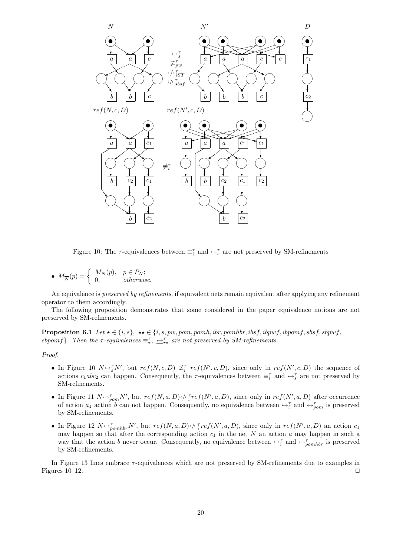

Figure 10: The  $\tau$ -equivalences between  $\equiv_i^{\tau}$  and  $\rightarrow_{s}^{\tau}$  are not preserved by SM-refinements

•  $M_{\overline{N}}(p) = \begin{cases} M_N(p), & p \in P_N; \\ 0 & otherwise \end{cases}$ 0, otherwise.

An equivalence is preserved by refinements, if equivalent nets remain equivalent after applying any refinement operator to them accordingly.

The following proposition demonstrates that some considered in the paper equivalence notions are not preserved by SM-refinements.

**Proposition 6.1** Let  $\star \in \{i, s\}$ ,  $\star \star \in \{i, s, pw, pom, pomh, ibr, pomhbr, ibsf, ibpwf, ibpomf, sbsf, sbpyrf,$ sbpomf}. Then the  $\tau$ -equivalences  $\equiv_{\star}^{\tau}$ ,  $\leftrightarrow_{\star}^{\tau}$  are not preserved by SM-refinements.

#### Proof.

- In Figure 10  $N \leq_s^{\tau} N'$ , but  $ref(N, c, D) \neq_t^{\tau} ref(N', c, D)$ , since only in  $ref(N', c, D)$  the sequence of actions  $c_1abc_2$  can happen. Consequently, the  $\tau$ -equivalences between  $\equiv_i^{\tau}$  and  $\rightarrow_i^{\tau}$  are not preserved by SM-refinements.
- In Figure 11  $N \rightarrow_{\text{pom}} N'$ , but  $ref(N, a, D) \not\rightarrow \text{rref}(N', a, D)$ , since only in  $ref(N', a, D)$  after occurrence of action  $a_1$  action b can not happen. Consequently, no equivalence between  $\rightleftharpoons_i^{\tau}$  and  $\rightleftharpoons_{\rho o m}^{\tau}$  is preserved by SM-refinements.
- In Figure 12  $N \rightarrow p_{\text{omhbr}} N'$ , but  $ref(N, a, D) \not\rightarrow \text{ref}(N', a, D)$ , since only in  $ref(N', a, D)$  an action  $c_1$ may happen so that after the corresponding action  $c_1$  in the net N an action a may happen in such a way that the action b never occur. Consequently, no equivalence between  $\leftrightarrow_i^{\tau}$  and  $\leftrightarrow_{pomhbr}^{\tau}$  is preserved by SM-refinements.

In Figure 13 lines embrace τ -equivalences which are not preserved by SM-refinements due to examples in Figures 10–12.  $\Box$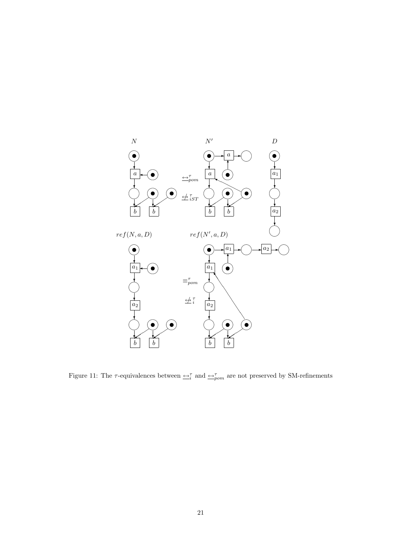

Figure 11: The  $\tau$ -equivalences between  $\leftrightarrow_{i}^{\tau}$  and  $\leftrightarrow_{pom}^{\tau}$  are not preserved by SM-refinements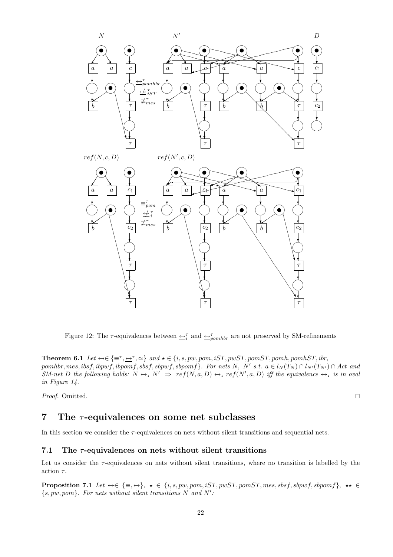

Figure 12: The  $\tau$ -equivalences between  $\leftrightarrow_i^{\tau}$  and  $\leftrightarrow_{pomhbr}^{\tau}$  are not preserved by SM-refinements

Theorem 6.1 Let ↔∈ {≡<sup>τ</sup> , ↔<sup>τ</sup> , '} and ? ∈ {i, s, pw, pom, iST, pwST, pomST, pomh, pomhST, ibr, pomhbr, mes, ibsf, ibpwf, ibpomf, sbsf, sbpwf, sbpomf}. For nets N, N' s.t.  $a \in l_N(T_N) \cap l_{N'}(T_{N'}) \cap Act$  and SM-net D the following holds:  $N \leftrightarrow_{\star} N' \Rightarrow ref(N, a, D) \leftrightarrow_{\star} ref(N', a, D)$  iff the equivalence  $\leftrightarrow_{\star}$  is in oval in Figure 14.

*Proof.* Omitted.  $\Box$ 

# 7 The  $\tau$ -equivalences on some net subclasses

In this section we consider the  $\tau$ -equivalences on nets without silent transitions and sequential nets.

### 7.1 The  $\tau$ -equivalences on nets without silent transitions

Let us consider the  $\tau$ -equivalences on nets without silent transitions, where no transition is labelled by the action  $\tau$ .

**Proposition 7.1** Let  $\leftrightarrow \in \{\equiv, \underline{\leftrightarrow}\}, \star \in \{i, s, pw, pom, iST, pwST, pomST, mes, sbsf, sbpwf, sbpomf\}, \star \star \in$  $\{s, pw, pom\}$ . For nets without silent transitions N and N':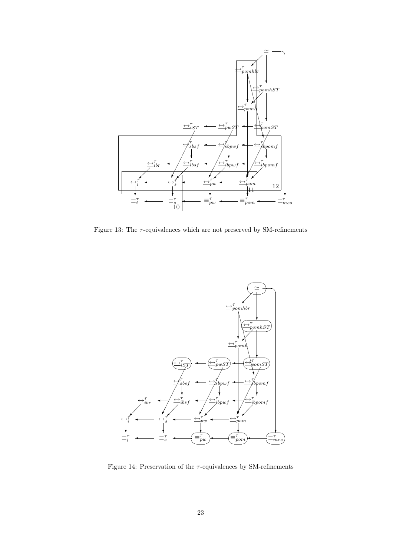

Figure 13: The  $\tau\text{-equivalences}$  which are not preserved by SM-refinements



Figure 14: Preservation of the  $\tau$ -equivalences by SM-refinements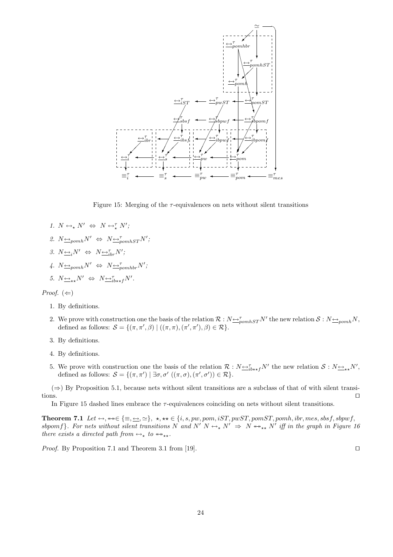

Figure 15: Merging of the  $\tau$ -equivalences on nets without silent transitions

- 1.  $N \leftrightarrow_{\star} N' \Leftrightarrow N \leftrightarrow_{\star}^{\tau} N'$ ; 2.  $N \rightarrow p_{\text{om}} N' \Leftrightarrow N \rightarrow p_{\text{om}} N'$ ; 3.  $N \underline{\leftrightarrow}_i N' \Leftrightarrow N \underline{\leftrightarrow}_{i}^{\tau} N'$ ;
- 4.  $N \underline{\leftrightarrow}_{pomh} N' \Leftrightarrow N \underline{\leftrightarrow}_{pomhbr}^{\tau} N';$

5. 
$$
N_{\leftrightarrow\star}N' \Leftrightarrow N_{\leftrightarrow i}^{\tau}N'.
$$

Proof.  $(\Leftarrow)$ 

- 1. By definitions.
- 2. We prove with construction one the basis of the relation  $\mathcal{R}: N \rightarrow_{\text{p}omhST} N'$  the new relation  $\mathcal{S}: N \rightarrow_{\text{p}omh} N$ , defined as follows:  $S = \{(\pi, \pi', \beta) | ((\pi, \pi), (\pi', \pi'), \beta) \in \mathcal{R}\}.$
- 3. By definitions.
- 4. By definitions.
- 5. We prove with construction one the basis of the relation  $\mathcal{R}: N \rightarrow_{i\rightarrow k} N'$  the new relation  $\mathcal{S}: N \rightarrow_{k\rightarrow k} N'$ , defined as follows:  $S = \{(\pi, \pi') \mid \exists \sigma, \sigma' \ (\pi, \sigma), (\pi', \sigma')\} \in \mathcal{R}\}.$

 $(\Rightarrow)$  By Proposition 5.1, because nets without silent transitions are a subclass of that of with silent transitions.  $\Box$ 

In Figure 15 dashed lines embrace the  $\tau$ -equivalences coinciding on nets without silent transitions.

Theorem 7.1 Let  $\leftrightarrow$ ,  $\leftrightarrow\in\{\equiv,\leftrightarrow,\succeq\},\star,\star\star\in\{i,s,pw,pom,iST,pwST,pomST,pomh,ibr,mes,sbsf,sbpwf,$ sbpomf}. For nets without silent transitions N and N'  $N \leftrightarrow_{\star} N' \Rightarrow N \leftrightarrow_{\star \star} N'$  iff in the graph in Figure 16 there exists a directed path from  $\leftrightarrow_{\star}$  to  $\leftrightarrow_{\star\star}$ .

*Proof.* By Proposition 7.1 and Theorem 3.1 from [19].  $\Box$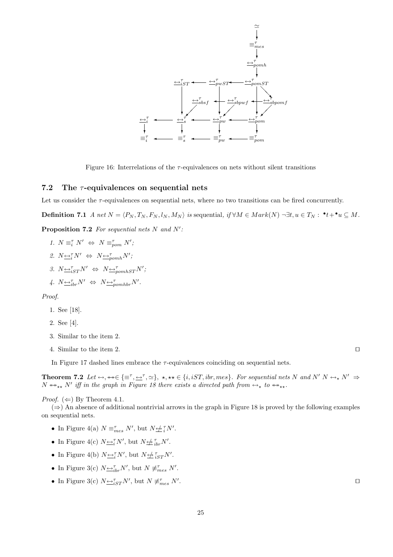

Figure 16: Interrelations of the  $\tau$ -equivalences on nets without silent transitions

### 7.2 The  $\tau$ -equivalences on sequential nets

Let us consider the  $\tau$ -equivalences on sequential nets, where no two transitions can be fired concurrently.

**Definition 7.1** A net  $N = \langle P_N, T_N, F_N, l_N, M_N \rangle$  is sequential, if  $\forall M \in Mark(N) \neg \exists t, u \in T_N : \cdot^! \cdot^! \cdot u \subseteq M$ .

**Proposition 7.2** For sequential nets  $N$  and  $N'$ :

1.  $N \equiv_i^{\tau} N' \Leftrightarrow N \equiv_{\text{pom}}^{\tau} N'$ ; 2.  $N \rightarrow N' \Leftrightarrow N \rightarrow \tau_{pomh} N'$ ; 3.  $N \underbrace{\leftrightarrow}_{iST}^{\tau} N' \Leftrightarrow N \underbrace{\leftrightarrow}_{pomhST}^{\tau} N';$ 

$$
4. N \underline{\leftrightarrow}^{\tau}_{ibr} N' \Leftrightarrow N \underline{\leftrightarrow}^{\tau}_{pomhbr} N'.
$$

Proof.

- 1. See [18].
- 2. See [4].
- 3. Similar to the item 2.
- 4. Similar to the item 2.  $\Box$

In Figure 17 dashed lines embrace the  $\tau$ -equivalences coinciding on sequential nets.

**Theorem 7.2** Let  $\leftrightarrow$ ,  $\leftrightarrow \in \{\equiv^{\tau}, \underline{\leftrightarrow}^{\tau}, \simeq\}$ ,  $\star$ ,  $\star \star \in \{i, iST, ibr, mes\}$ . For sequential nets N and N' N  $\leftrightarrow$ , N'  $\Rightarrow$  $N \leftrightarrow_{\star\star} N'$  iff in the graph in Figure 18 there exists a directed path from  $\leftrightarrow_{\star}$  to  $\leftrightarrow_{\star\star}$ .

*Proof.* ( $\Leftarrow$ ) By Theorem 4.1.

 $(\Rightarrow)$  An absence of additional nontrivial arrows in the graph in Figure 18 is proved by the following examples on sequential nets.

- In Figure 4(a)  $N \equiv_{mes}^{\tau} N'$ , but  $N \not\rightleftharpoons_i^{\tau} N'$ .
- In Figure 4(c)  $N \underbrace{\leftrightarrow_i^{\tau}} N'$ , but  $N \underbrace{\leftrightarrow_i^{\tau}}_{i b r} N'$ .
- In Figure 4(b)  $N \underline{\leftrightarrow_i^{\tau}} N'$ , but  $N \underline{\leftrightarrow_i^{\tau}}_{ST} N'$ .
- In Figure 3(c)  $N \underline{\leftrightarrow}^{\tau}_{ibr} N'$ , but  $N \not\equiv^{\tau}_{mes} N'$ .
- In Figure 3(c)  $N \rightarrow i_{ST}^T N'$ , but  $N \neq_{mes}^T N'$

. The contract of the contract of the contract of the contract of the contract of the contract of the contract of the contract of the contract of the contract of the contract of the contract of the contract of the contract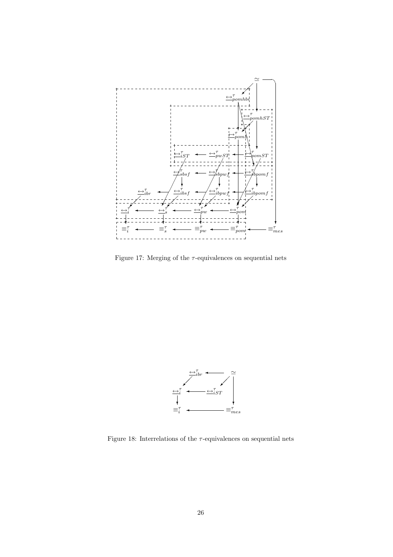

Figure 17: Merging of the  $\tau$ -equivalences on sequential nets



Figure 18: Interrelations of the  $\tau\text{-equivalences}$  on sequential nets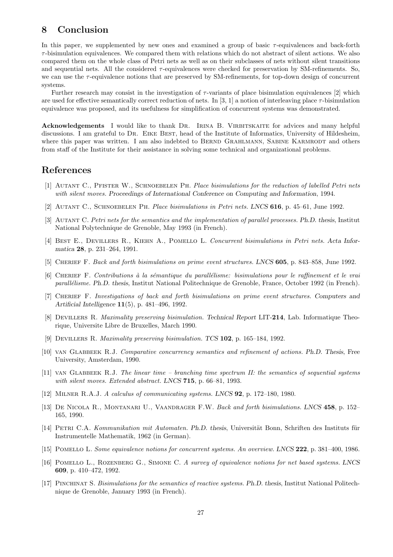# 8 Conclusion

In this paper, we supplemented by new ones and examined a group of basic  $\tau$ -equivalences and back-forth  $\tau$ -bisimulation equivalences. We compared them with relations which do not abstract of silent actions. We also compared them on the whole class of Petri nets as well as on their subclasses of nets without silent transitions and sequential nets. All the considered  $\tau$ -equivalences were checked for preservation by SM-refinements. So, we can use the  $\tau$ -equivalence notions that are preserved by SM-refinements, for top-down design of concurrent systems.

Further research may consist in the investigation of  $\tau$ -variants of place bisimulation equivalences [2] which are used for effective semantically correct reduction of nets. In [3, 1] a notion of interleaving place  $\tau$ -bisimulation equivalence was proposed, and its usefulness for simplification of concurrent systems was demonstrated.

Acknowledgements I would like to thank DR. IRINA B. VIRBITSKAITE for advices and many helpful discussions. I am grateful to Dr. Eike Best, head of the Institute of Informatics, University of Hildesheim, where this paper was written. I am also indebted to BERND GRAHLMANN, SABINE KARMRODT and others from staff of the Institute for their assistance in solving some technical and organizational problems.

# References

- [1] AUTANT C., PFISTER W., SCHNOEBELEN PH. Place bisimulations for the reduction of labelled Petri nets with silent moves. Proceedings of International Conference on Computing and Information, 1994.
- [2] Autant C., Schnoebelen Ph. Place bisimulations in Petri nets. LNCS 616, p. 45–61, June 1992.
- [3] AUTANT C. Petri nets for the semantics and the implementation of parallel processes. Ph.D. thesis, Institut National Polytechnique de Grenoble, May 1993 (in French).
- [4] Best E., Devillers R., Kiehn A., Pomello L. Concurrent bisimulations in Petri nets. Acta Informatica 28, p. 231–264, 1991.
- [5] CHERIEF F. Back and forth bisimulations on prime event structures. LNCS 605, p. 843–858, June 1992.
- [6] CHERIEF F. Contributions à la sémantique du parallélisme: bisimulations pour le raffinement et le vrai parall´elisme. Ph.D. thesis, Institut National Politechnique de Grenoble, France, October 1992 (in French).
- [7] Cherief F. Investigations of back and forth bisimulations on prime event structures. Computers and Artificial Intelligence 11(5), p. 481–496, 1992.
- [8] DEVILLERS R. Maximality preserving bisimulation. Technical Report LIT-214, Lab. Informatique Theorique, Universite Libre de Bruxelles, March 1990.
- [9] Devillers R. Maximality preserving bisimulation. TCS 102, p. 165–184, 1992.
- [10] van Glabbeek R.J. Comparative concurrency semantics and refinement of actions. Ph.D. Thesis, Free University, Amsterdam, 1990.
- [11] van Glabbeek R.J. The linear time branching time spectrum II: the semantics of sequential systems with silent moves. Extended abstract. LNCS 715, p. 66–81, 1993.
- [12] Milner R.A.J. A calculus of communicating systems. LNCS 92, p. 172–180, 1980.
- [13] De Nicola R., Montanari U., Vaandrager F.W. Back and forth bisimulations. LNCS 458, p. 152– 165, 1990.
- [14] PETRI C.A. Kommunikation mit Automaten. Ph.D. thesis, Universität Bonn, Schriften des Instituts für Instrumentelle Mathematik, 1962 (in German).
- [15] Pomello L. Some equivalence notions for concurrent systems. An overview. LNCS 222, p. 381–400, 1986.
- [16] POMELLO L., ROZENBERG G., SIMONE C. A survey of equivalence notions for net based systems. LNCS 609, p. 410–472, 1992.
- [17] Pinchinat S. Bisimulations for the semantics of reactive systems. Ph.D. thesis, Institut National Politechnique de Grenoble, January 1993 (in French).